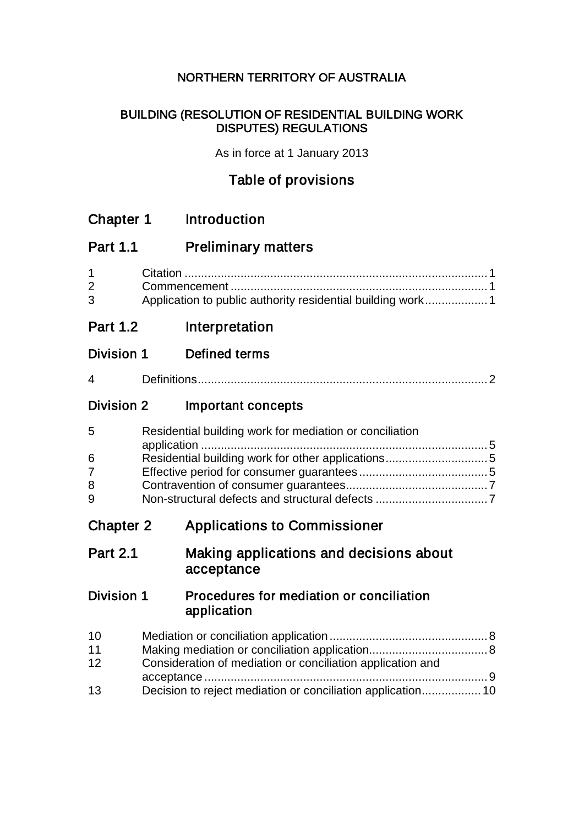## NORTHERN TERRITORY OF AUSTRALIA

## BUILDING (RESOLUTION OF RESIDENTIAL BUILDING WORK DISPUTES) REGULATIONS

As in force at 1 January 2013

# Table of provisions

| <b>Chapter 1</b>                   |                                                         | <b>Introduction</b>                                                                                                       |
|------------------------------------|---------------------------------------------------------|---------------------------------------------------------------------------------------------------------------------------|
| <b>Part 1.1</b>                    |                                                         | <b>Preliminary matters</b>                                                                                                |
| $\mathbf 1$<br>$\overline{2}$<br>3 |                                                         | Application to public authority residential building work 1                                                               |
| <b>Part 1.2</b>                    |                                                         | Interpretation                                                                                                            |
| <b>Division 1</b>                  |                                                         | <b>Defined terms</b>                                                                                                      |
| 4                                  |                                                         |                                                                                                                           |
| <b>Division 2</b>                  |                                                         | Important concepts                                                                                                        |
| 5<br>6<br>$\overline{7}$<br>8<br>9 | Residential building work for mediation or conciliation |                                                                                                                           |
| <b>Chapter 2</b>                   |                                                         | <b>Applications to Commissioner</b>                                                                                       |
| <b>Part 2.1</b>                    |                                                         | Making applications and decisions about<br>acceptance                                                                     |
| <b>Division 1</b>                  |                                                         | Procedures for mediation or conciliation<br>application                                                                   |
| 10<br>11<br>12<br>13               |                                                         | Consideration of mediation or conciliation application and<br>Decision to reject mediation or conciliation application 10 |
|                                    |                                                         |                                                                                                                           |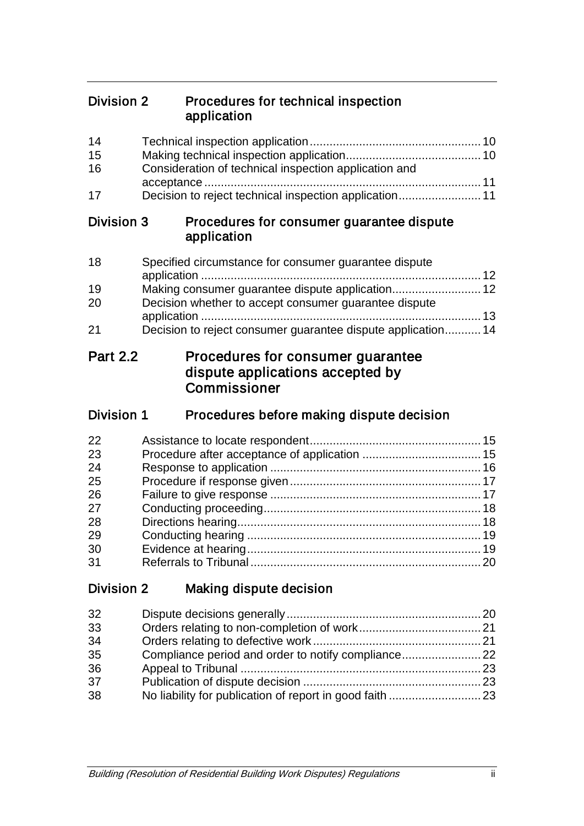## Division 2 Procedures for technical inspection application

| 14<br>15<br>16<br>17 | Consideration of technical inspection application and<br>Decision to reject technical inspection application 11 |
|----------------------|-----------------------------------------------------------------------------------------------------------------|
| Division 3           | Procedures for consumer guarantee dispute<br>application                                                        |
| 18                   | Specified circumstance for consumer guarantee dispute                                                           |
| 19<br>20             | Making consumer guarantee dispute application 12<br>Decision whether to accept consumer guarantee dispute       |
| 21                   | Decision to reject consumer guarantee dispute application 14                                                    |
| <b>Part 2.2</b>      | Procedures for consumer guarantee<br>dispute applications accepted by<br>Commissioner                           |
| <b>Division 1</b>    | Procedures before making dispute decision                                                                       |
| 22                   |                                                                                                                 |
| 23                   |                                                                                                                 |
| 24                   |                                                                                                                 |
| 25                   |                                                                                                                 |
| 26                   |                                                                                                                 |
| 27                   |                                                                                                                 |
| 28                   |                                                                                                                 |
| 29                   |                                                                                                                 |
| 30                   |                                                                                                                 |
| 31                   |                                                                                                                 |
| Division 2           |                                                                                                                 |

| 32 |  |
|----|--|
| 33 |  |
| 34 |  |
| 35 |  |
| 36 |  |
| 37 |  |
| 38 |  |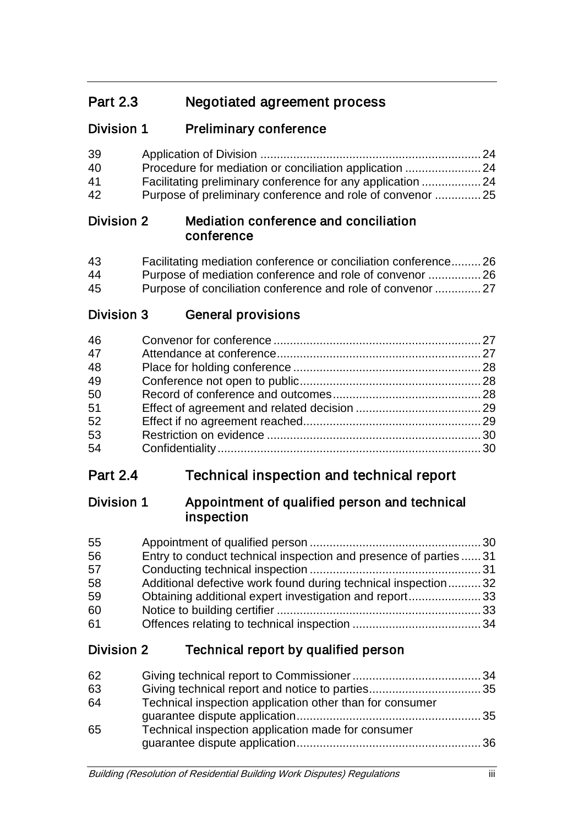# Part 2.3 Negotiated agreement process

## Division 1 Preliminary conference

| 39 |                                                            |  |
|----|------------------------------------------------------------|--|
| 40 | Procedure for mediation or conciliation application  24    |  |
| 41 | Facilitating preliminary conference for any application 24 |  |
| 42 | Purpose of preliminary conference and role of convenor 25  |  |

## Division 2 Mediation conference and conciliation conference

| 43 | Facilitating mediation conference or conciliation conference26 |  |
|----|----------------------------------------------------------------|--|
| 44 | Purpose of mediation conference and role of convenor  26       |  |
| 45 | Purpose of conciliation conference and role of convenor  27    |  |

Division 3 General provisions

| 46 |  |
|----|--|
| 47 |  |
| 48 |  |
| 49 |  |
| 50 |  |
| 51 |  |
| 52 |  |
| 53 |  |
| 54 |  |

# Part 2.4 Technical inspection and technical report

## Division 1 Appointment of qualified person and technical inspection

| 55 |                                                                   |  |
|----|-------------------------------------------------------------------|--|
| 56 | Entry to conduct technical inspection and presence of parties  31 |  |
| 57 |                                                                   |  |
| 58 | Additional defective work found during technical inspection32     |  |
| 59 | Obtaining additional expert investigation and report33            |  |
| 60 |                                                                   |  |
| 61 |                                                                   |  |

# Division 2 Technical report by qualified person

| 62 |                                                          |  |
|----|----------------------------------------------------------|--|
| 63 |                                                          |  |
| 64 | Technical inspection application other than for consumer |  |
| 65 | Technical inspection application made for consumer       |  |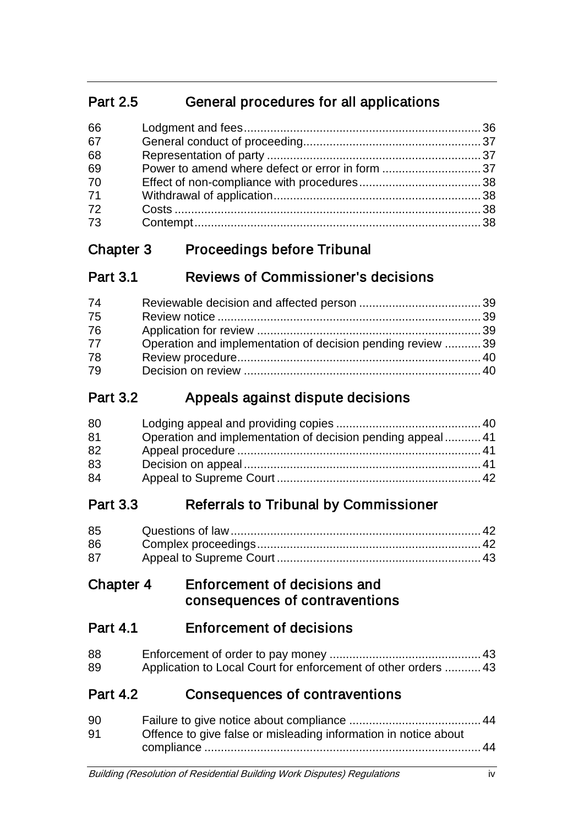# Part 2.5 General procedures for all applications

| 66 |  |
|----|--|
| 67 |  |
| 68 |  |
| 69 |  |
| 70 |  |
| 71 |  |
| 72 |  |
| 73 |  |

# Chapter 3 Proceedings before Tribunal

| <b>Part 3.1</b> | <b>Reviews of Commissioner's decisions</b> |  |
|-----------------|--------------------------------------------|--|
|                 |                                            |  |

| 74 |                                                             |  |
|----|-------------------------------------------------------------|--|
| 75 |                                                             |  |
| 76 |                                                             |  |
| 77 | Operation and implementation of decision pending review  39 |  |
| 78 |                                                             |  |
| 79 |                                                             |  |

# Part 3.2 Appeals against dispute decisions

| 80 |                                                            |  |
|----|------------------------------------------------------------|--|
| 81 | Operation and implementation of decision pending appeal 41 |  |
| 82 |                                                            |  |
| 83 |                                                            |  |
| 84 |                                                            |  |

# Part 3.3 Referrals to Tribunal by Commissioner

| 85 |  |
|----|--|
| 86 |  |
| 87 |  |

## Chapter 4 Enforcement of decisions and consequences of contraventions

# Part 4.1 Enforcement of decisions

| 88 |                                                                |  |
|----|----------------------------------------------------------------|--|
| 89 | Application to Local Court for enforcement of other orders  43 |  |

# Part 4.2 Consequences of contraventions

| Offence to give false or misleading information in notice about |
|-----------------------------------------------------------------|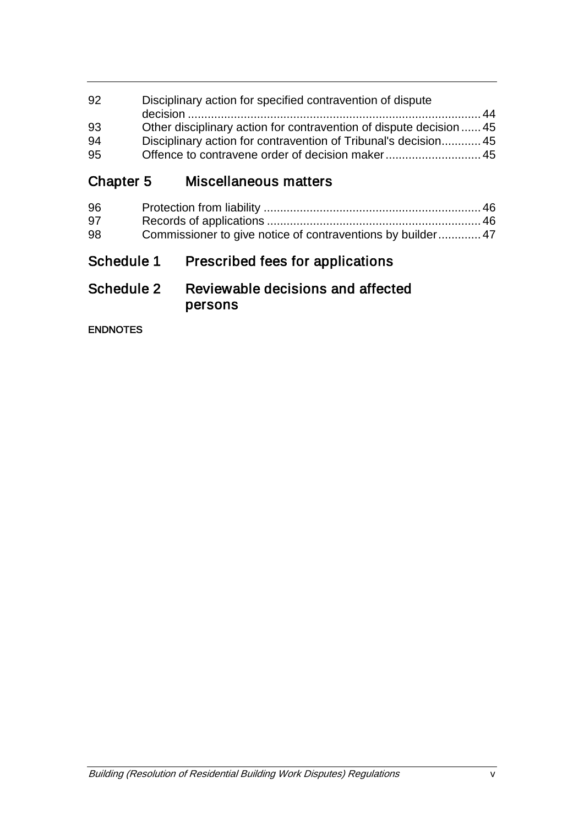| -92 | Disciplinary action for specified contravention of dispute          |  |
|-----|---------------------------------------------------------------------|--|
|     |                                                                     |  |
| 93  | Other disciplinary action for contravention of dispute decision  45 |  |
| -94 | Disciplinary action for contravention of Tribunal's decision 45     |  |
| -95 | Offence to contravene order of decision maker 45                    |  |
|     |                                                                     |  |

Chapter 5 Miscellaneous matters

| 96 |                                                            |  |
|----|------------------------------------------------------------|--|
| 97 |                                                            |  |
| 98 | Commissioner to give notice of contraventions by builder47 |  |
|    |                                                            |  |

# Schedule 1 Prescribed fees for applications

## Schedule 2 Reviewable decisions and affected persons

ENDNOTES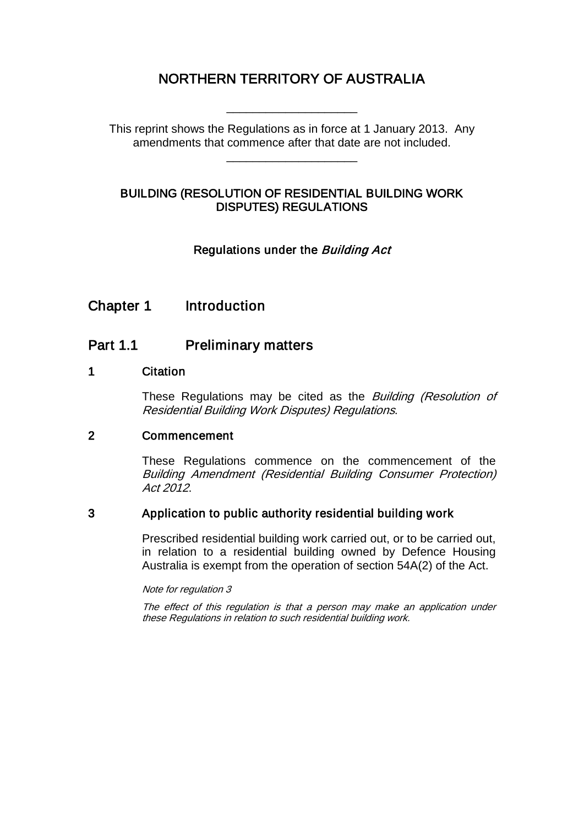## NORTHERN TERRITORY OF AUSTRALIA

This reprint shows the Regulations as in force at 1 January 2013. Any amendments that commence after that date are not included.

\_\_\_\_\_\_\_\_\_\_\_\_\_\_\_\_\_\_\_\_

\_\_\_\_\_\_\_\_\_\_\_\_\_\_\_\_\_\_\_\_

## BUILDING (RESOLUTION OF RESIDENTIAL BUILDING WORK DISPUTES) REGULATIONS

## Regulations under the Building Act

## Chapter 1 Introduction

## Part 1.1 Preliminary matters

#### 1 Citation

These Regulations may be cited as the *Building (Resolution of* Residential Building Work Disputes) Regulations.

#### 2 Commencement

These Regulations commence on the commencement of the Building Amendment (Residential Building Consumer Protection) Act 2012.

## 3 Application to public authority residential building work

Prescribed residential building work carried out, or to be carried out, in relation to a residential building owned by Defence Housing Australia is exempt from the operation of section 54A(2) of the Act.

#### Note for regulation 3

The effect of this regulation is that a person may make an application under these Regulations in relation to such residential building work.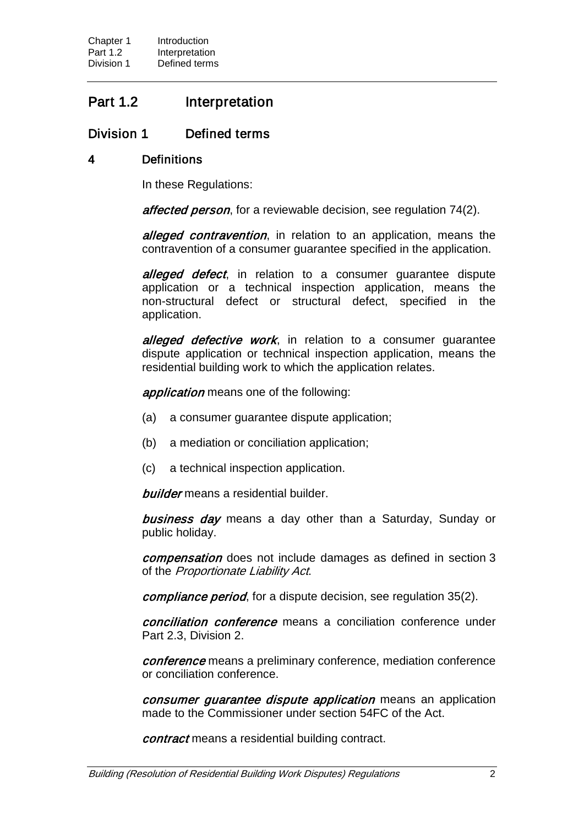## Part 1.2 Interpretation

## Division 1 Defined terms

### 4 Definitions

In these Regulations:

affected person, for a reviewable decision, see regulation 74(2).

alleged contravention, in relation to an application, means the contravention of a consumer guarantee specified in the application.

alleged defect, in relation to a consumer quarantee dispute application or a technical inspection application, means the non-structural defect or structural defect, specified in the application.

alleged defective work, in relation to a consumer quarantee dispute application or technical inspection application, means the residential building work to which the application relates.

application means one of the following:

- (a) a consumer guarantee dispute application;
- (b) a mediation or conciliation application;
- (c) a technical inspection application.

**builder** means a residential builder.

**business day** means a day other than a Saturday, Sunday or public holiday.

compensation does not include damages as defined in section 3 of the Proportionate Liability Act.

compliance period, for a dispute decision, see regulation 35(2).

conciliation conference means a conciliation conference under Part 2.3, Division 2.

conference means a preliminary conference, mediation conference or conciliation conference.

consumer guarantee dispute application means an application made to the Commissioner under section 54FC of the Act.

contract means a residential building contract.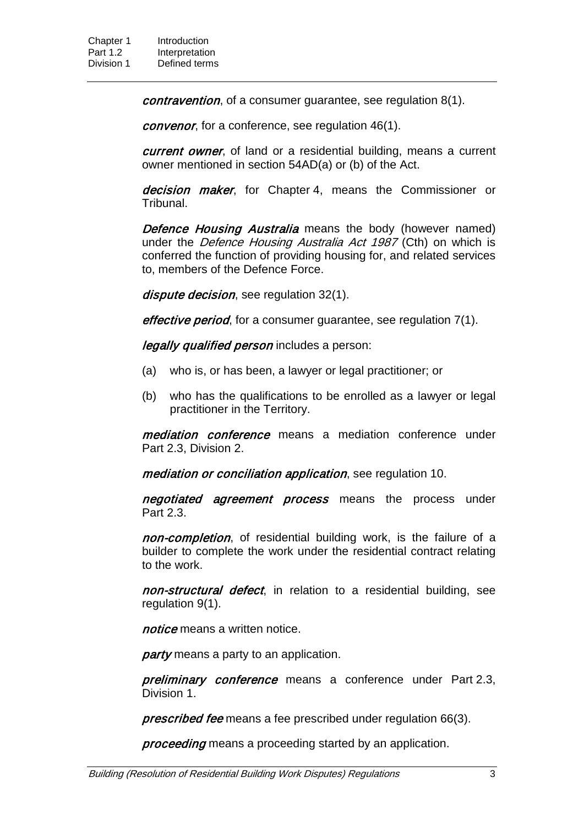contravention, of a consumer guarantee, see regulation 8(1).

convenor, for a conference, see regulation 46(1).

current owner, of land or a residential building, means a current owner mentioned in section 54AD(a) or (b) of the Act.

decision maker, for Chapter 4, means the Commissioner or Tribunal.

Defence Housing Australia means the body (however named) under the *Defence Housing Australia Act 1987* (Cth) on which is conferred the function of providing housing for, and related services to, members of the Defence Force.

dispute decision, see regulation 32(1).

effective period, for a consumer guarantee, see regulation 7(1).

legally qualified person includes a person:

- (a) who is, or has been, a lawyer or legal practitioner; or
- (b) who has the qualifications to be enrolled as a lawyer or legal practitioner in the Territory.

mediation conference means a mediation conference under Part 2.3, Division 2.

mediation or conciliation application, see regulation 10.

negotiated agreement process means the process under Part 2.3.

non-completion, of residential building work, is the failure of a builder to complete the work under the residential contract relating to the work.

non-structural defect, in relation to a residential building, see regulation 9(1).

notice means a written notice.

party means a party to an application.

preliminary conference means a conference under Part 2.3, Division 1.

**prescribed fee** means a fee prescribed under regulation 66(3).

proceeding means a proceeding started by an application.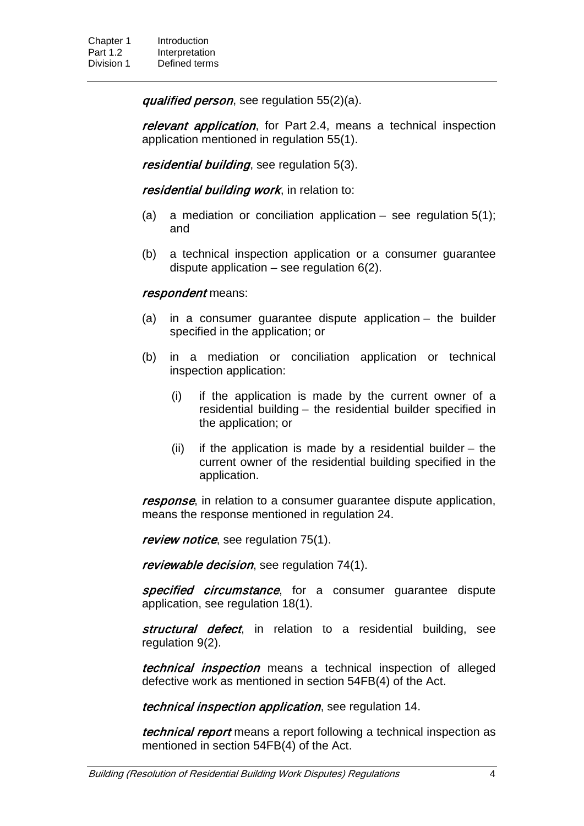qualified person, see regulation 55(2)(a).

relevant application, for Part 2.4, means a technical inspection application mentioned in regulation 55(1).

residential building, see regulation 5(3).

residential building work, in relation to:

- (a) a mediation or conciliation application see regulation  $5(1)$ ; and
- (b) a technical inspection application or a consumer guarantee dispute application  $-$  see regulation  $6(2)$ .

#### respondent means:

- (a) in a consumer guarantee dispute application the builder specified in the application; or
- (b) in a mediation or conciliation application or technical inspection application:
	- (i) if the application is made by the current owner of a residential building – the residential builder specified in the application; or
	- (ii) if the application is made by a residential builder  $-$  the current owner of the residential building specified in the application.

response, in relation to a consumer quarantee dispute application, means the response mentioned in regulation 24.

review notice, see regulation 75(1).

reviewable decision, see regulation 74(1).

specified circumstance, for a consumer guarantee dispute application, see regulation 18(1).

structural defect, in relation to a residential building, see regulation 9(2).

*technical inspection* means a technical inspection of alleged defective work as mentioned in section 54FB(4) of the Act.

technical inspection application, see regulation 14.

technical report means a report following a technical inspection as mentioned in section 54FB(4) of the Act.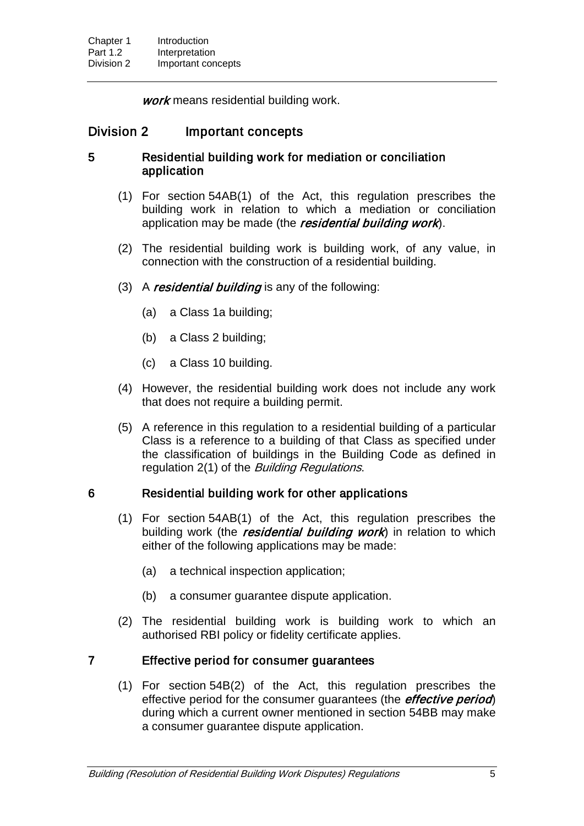work means residential building work.

## Division 2 Important concepts

## 5 Residential building work for mediation or conciliation application

- (1) For section 54AB(1) of the Act, this regulation prescribes the building work in relation to which a mediation or conciliation application may be made (the residential building work).
- (2) The residential building work is building work, of any value, in connection with the construction of a residential building.
- (3) A residential building is any of the following:
	- (a) a Class 1a building;
	- (b) a Class 2 building;
	- (c) a Class 10 building.
- (4) However, the residential building work does not include any work that does not require a building permit.
- (5) A reference in this regulation to a residential building of a particular Class is a reference to a building of that Class as specified under the classification of buildings in the Building Code as defined in regulation 2(1) of the *Building Regulations*.

## 6 Residential building work for other applications

- (1) For section 54AB(1) of the Act, this regulation prescribes the building work (the residential building work) in relation to which either of the following applications may be made:
	- (a) a technical inspection application;
	- (b) a consumer guarantee dispute application.
- (2) The residential building work is building work to which an authorised RBI policy or fidelity certificate applies.

## 7 Effective period for consumer guarantees

(1) For section 54B(2) of the Act, this regulation prescribes the effective period for the consumer quarantees (the *effective period*) during which a current owner mentioned in section 54BB may make a consumer guarantee dispute application.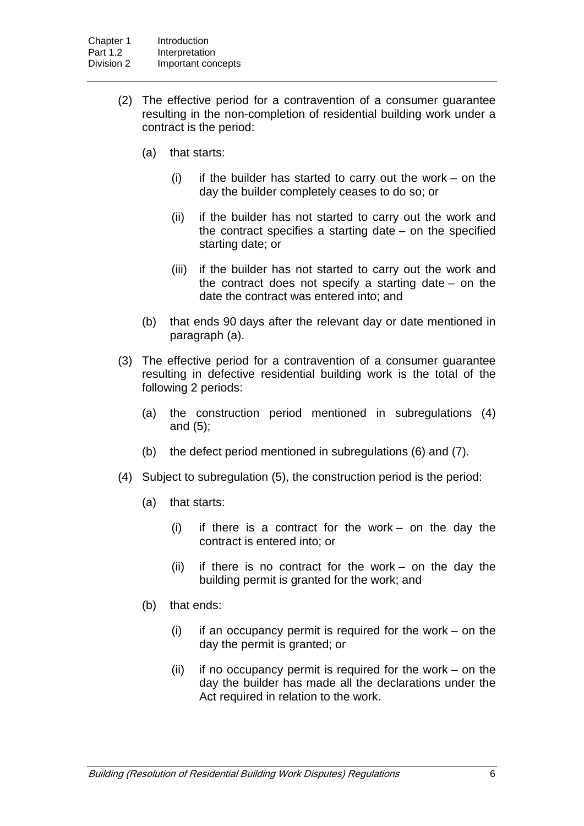- (2) The effective period for a contravention of a consumer guarantee resulting in the non-completion of residential building work under a contract is the period:
	- (a) that starts:
		- $(i)$  if the builder has started to carry out the work on the day the builder completely ceases to do so; or
		- (ii) if the builder has not started to carry out the work and the contract specifies a starting date – on the specified starting date; or
		- (iii) if the builder has not started to carry out the work and the contract does not specify a starting date – on the date the contract was entered into; and
	- (b) that ends 90 days after the relevant day or date mentioned in paragraph (a).
- (3) The effective period for a contravention of a consumer guarantee resulting in defective residential building work is the total of the following 2 periods:
	- (a) the construction period mentioned in subregulations (4) and (5);
	- (b) the defect period mentioned in subregulations (6) and (7).
- (4) Subject to subregulation (5), the construction period is the period:
	- (a) that starts:
		- (i) if there is a contract for the work on the day the contract is entered into; or
		- (ii) if there is no contract for the work on the day the building permit is granted for the work; and
	- (b) that ends:
		- $(i)$  if an occupancy permit is required for the work on the day the permit is granted; or
		- $(ii)$  if no occupancy permit is required for the work on the day the builder has made all the declarations under the Act required in relation to the work.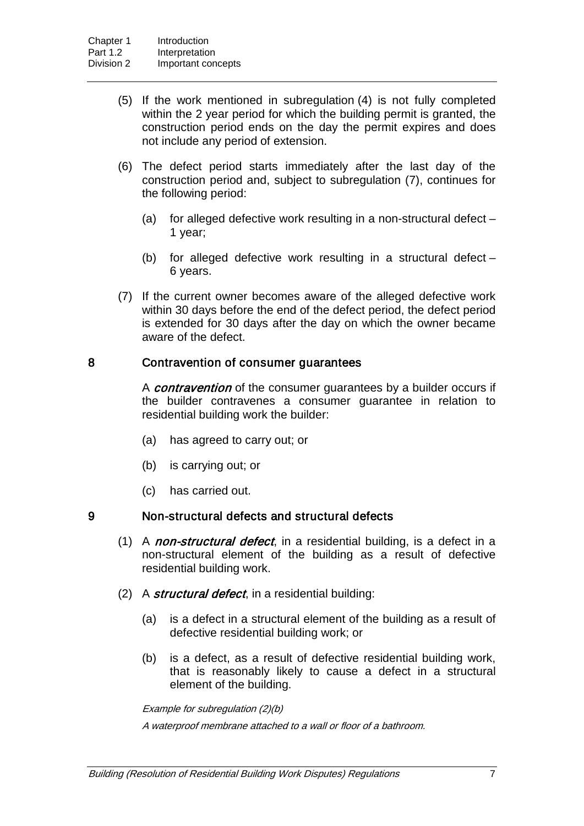- (5) If the work mentioned in subregulation (4) is not fully completed within the 2 year period for which the building permit is granted, the construction period ends on the day the permit expires and does not include any period of extension.
- (6) The defect period starts immediately after the last day of the construction period and, subject to subregulation (7), continues for the following period:
	- (a) for alleged defective work resulting in a non-structural defect 1 year;
	- (b) for alleged defective work resulting in a structural defect 6 years.
- (7) If the current owner becomes aware of the alleged defective work within 30 days before the end of the defect period, the defect period is extended for 30 days after the day on which the owner became aware of the defect.

#### 8 Contravention of consumer guarantees

A *contravention* of the consumer guarantees by a builder occurs if the builder contravenes a consumer guarantee in relation to residential building work the builder:

- (a) has agreed to carry out; or
- (b) is carrying out; or
- (c) has carried out.

#### 9 Non-structural defects and structural defects

- (1) A *non-structural defect*, in a residential building, is a defect in a non-structural element of the building as a result of defective residential building work.
- (2) A structural defect, in a residential building:
	- (a) is a defect in a structural element of the building as a result of defective residential building work; or
	- (b) is a defect, as a result of defective residential building work, that is reasonably likely to cause a defect in a structural element of the building.

Example for subregulation (2)(b)

A waterproof membrane attached to a wall or floor of a bathroom.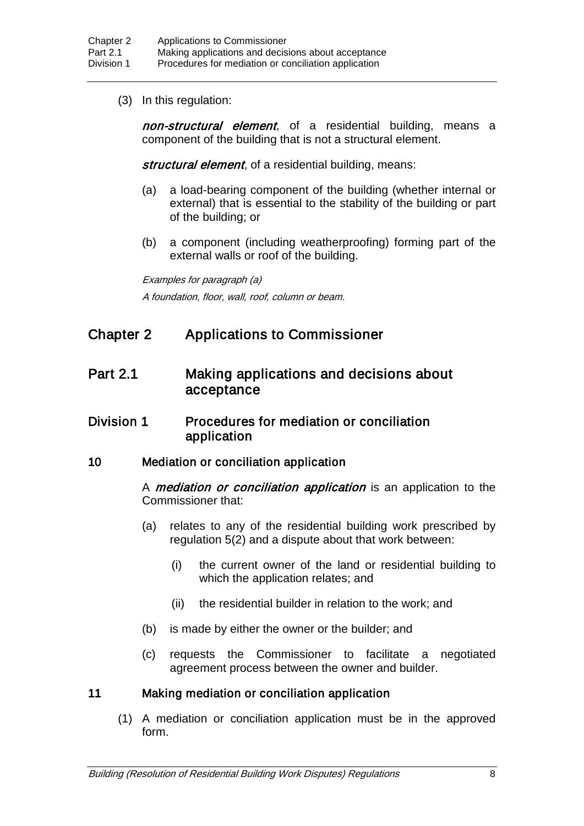(3) In this regulation:

non-structural element, of a residential building, means a component of the building that is not a structural element.

structural element, of a residential building, means:

- (a) a load-bearing component of the building (whether internal or external) that is essential to the stability of the building or part of the building; or
- (b) a component (including weatherproofing) forming part of the external walls or roof of the building.

Examples for paragraph (a) A foundation, floor, wall, roof, column or beam.

## Chapter 2 Applications to Commissioner

## Part 2.1 Making applications and decisions about acceptance

## Division 1 Procedures for mediation or conciliation application

## 10 Mediation or conciliation application

A *mediation or conciliation application* is an application to the Commissioner that:

- (a) relates to any of the residential building work prescribed by regulation 5(2) and a dispute about that work between:
	- (i) the current owner of the land or residential building to which the application relates; and
	- (ii) the residential builder in relation to the work; and
- (b) is made by either the owner or the builder; and
- (c) requests the Commissioner to facilitate a negotiated agreement process between the owner and builder.

## 11 Making mediation or conciliation application

(1) A mediation or conciliation application must be in the approved form.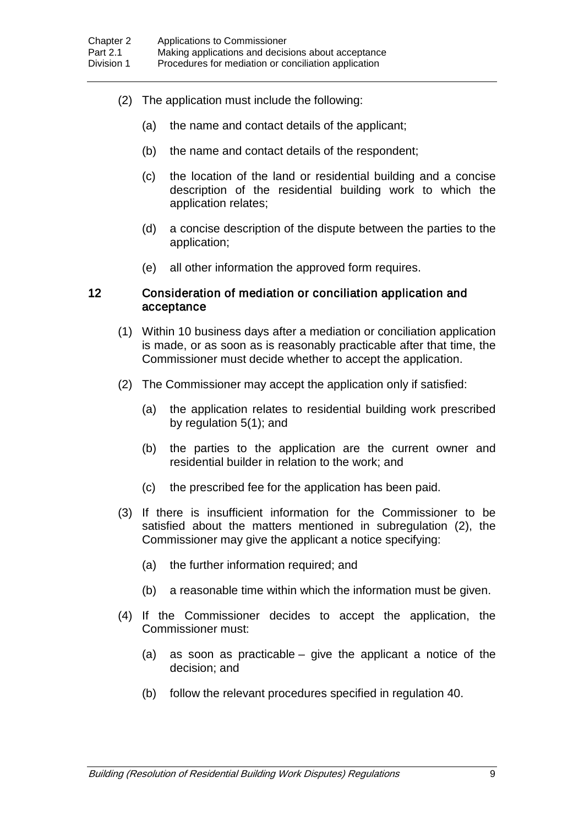- (2) The application must include the following:
	- (a) the name and contact details of the applicant;
	- (b) the name and contact details of the respondent;
	- (c) the location of the land or residential building and a concise description of the residential building work to which the application relates;
	- (d) a concise description of the dispute between the parties to the application;
	- (e) all other information the approved form requires.

#### 12 Consideration of mediation or conciliation application and acceptance

- (1) Within 10 business days after a mediation or conciliation application is made, or as soon as is reasonably practicable after that time, the Commissioner must decide whether to accept the application.
- (2) The Commissioner may accept the application only if satisfied:
	- (a) the application relates to residential building work prescribed by regulation 5(1); and
	- (b) the parties to the application are the current owner and residential builder in relation to the work; and
	- (c) the prescribed fee for the application has been paid.
- (3) If there is insufficient information for the Commissioner to be satisfied about the matters mentioned in subregulation (2), the Commissioner may give the applicant a notice specifying:
	- (a) the further information required; and
	- (b) a reasonable time within which the information must be given.
- (4) If the Commissioner decides to accept the application, the Commissioner must:
	- (a) as soon as practicable give the applicant a notice of the decision; and
	- (b) follow the relevant procedures specified in regulation 40.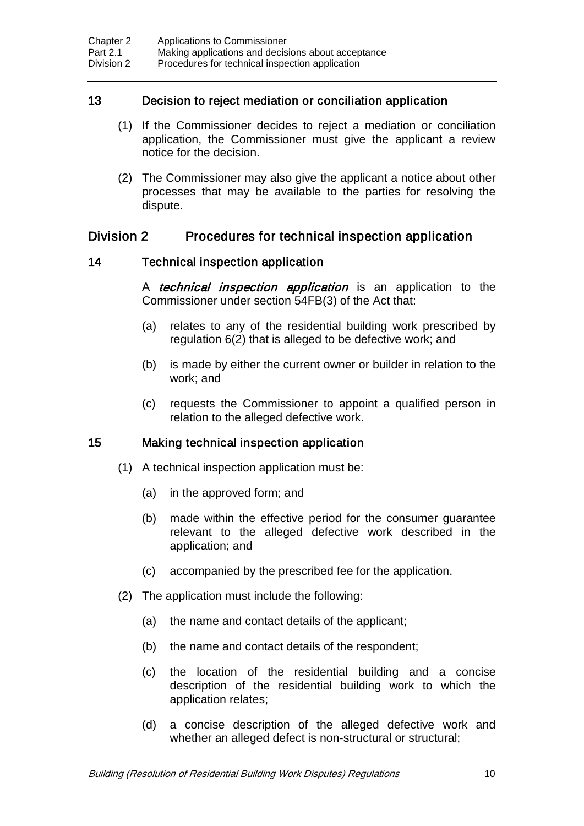## 13 Decision to reject mediation or conciliation application

- (1) If the Commissioner decides to reject a mediation or conciliation application, the Commissioner must give the applicant a review notice for the decision.
- (2) The Commissioner may also give the applicant a notice about other processes that may be available to the parties for resolving the dispute.

## Division 2 Procedures for technical inspection application

## 14 Technical inspection application

A *technical inspection application* is an application to the Commissioner under section 54FB(3) of the Act that:

- (a) relates to any of the residential building work prescribed by regulation 6(2) that is alleged to be defective work; and
- (b) is made by either the current owner or builder in relation to the work; and
- (c) requests the Commissioner to appoint a qualified person in relation to the alleged defective work.

## 15 Making technical inspection application

- (1) A technical inspection application must be:
	- (a) in the approved form; and
	- (b) made within the effective period for the consumer guarantee relevant to the alleged defective work described in the application; and
	- (c) accompanied by the prescribed fee for the application.
- (2) The application must include the following:
	- (a) the name and contact details of the applicant;
	- (b) the name and contact details of the respondent;
	- (c) the location of the residential building and a concise description of the residential building work to which the application relates;
	- (d) a concise description of the alleged defective work and whether an alleged defect is non-structural or structural;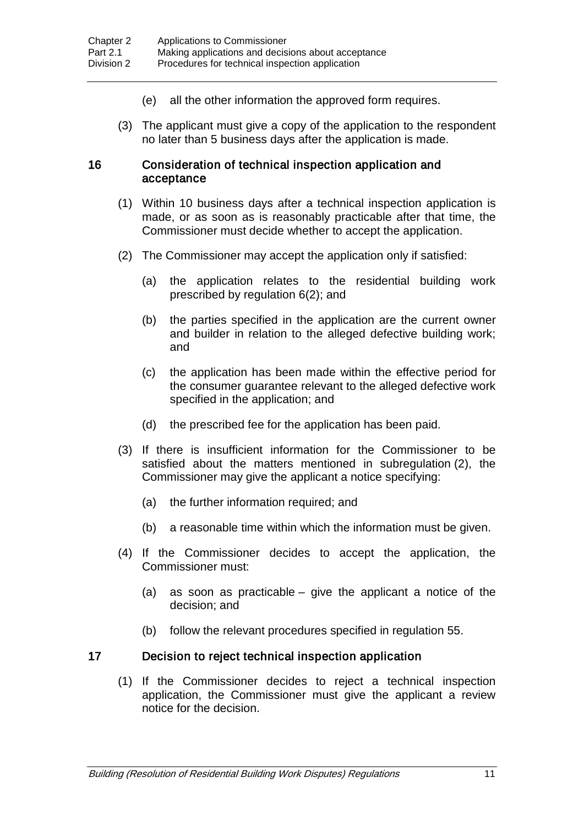- (e) all the other information the approved form requires.
- (3) The applicant must give a copy of the application to the respondent no later than 5 business days after the application is made.

#### 16 Consideration of technical inspection application and acceptance

- (1) Within 10 business days after a technical inspection application is made, or as soon as is reasonably practicable after that time, the Commissioner must decide whether to accept the application.
- (2) The Commissioner may accept the application only if satisfied:
	- (a) the application relates to the residential building work prescribed by regulation 6(2); and
	- (b) the parties specified in the application are the current owner and builder in relation to the alleged defective building work; and
	- (c) the application has been made within the effective period for the consumer guarantee relevant to the alleged defective work specified in the application; and
	- (d) the prescribed fee for the application has been paid.
- (3) If there is insufficient information for the Commissioner to be satisfied about the matters mentioned in subregulation (2), the Commissioner may give the applicant a notice specifying:
	- (a) the further information required; and
	- (b) a reasonable time within which the information must be given.
- (4) If the Commissioner decides to accept the application, the Commissioner must:
	- (a) as soon as practicable give the applicant a notice of the decision; and
	- (b) follow the relevant procedures specified in regulation 55.

#### 17 Decision to reject technical inspection application

(1) If the Commissioner decides to reject a technical inspection application, the Commissioner must give the applicant a review notice for the decision.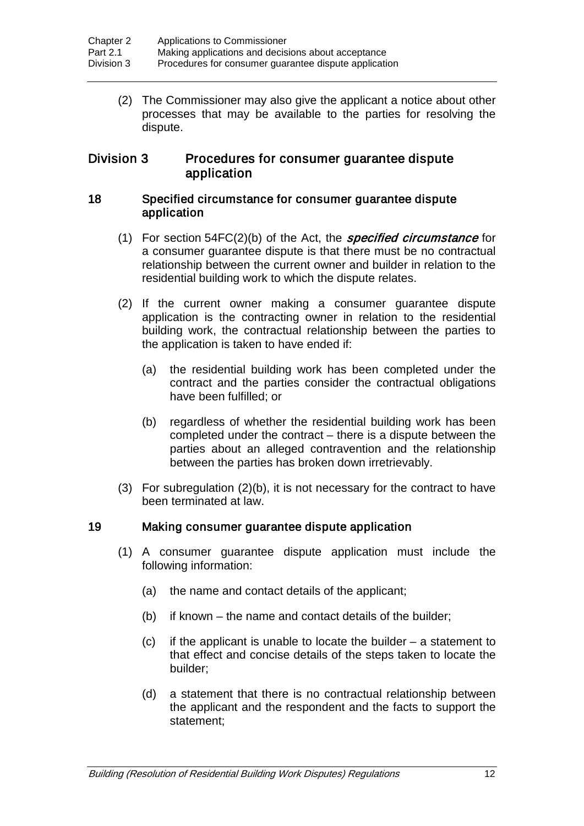(2) The Commissioner may also give the applicant a notice about other processes that may be available to the parties for resolving the dispute.

## Division 3 Procedures for consumer guarantee dispute application

#### 18 Specified circumstance for consumer guarantee dispute application

- (1) For section  $54FC(2)(b)$  of the Act, the *specified circumstance* for a consumer guarantee dispute is that there must be no contractual relationship between the current owner and builder in relation to the residential building work to which the dispute relates.
- (2) If the current owner making a consumer guarantee dispute application is the contracting owner in relation to the residential building work, the contractual relationship between the parties to the application is taken to have ended if:
	- (a) the residential building work has been completed under the contract and the parties consider the contractual obligations have been fulfilled; or
	- (b) regardless of whether the residential building work has been completed under the contract – there is a dispute between the parties about an alleged contravention and the relationship between the parties has broken down irretrievably.
- (3) For subregulation (2)(b), it is not necessary for the contract to have been terminated at law.

## 19 Making consumer guarantee dispute application

- (1) A consumer guarantee dispute application must include the following information:
	- (a) the name and contact details of the applicant;
	- (b) if known the name and contact details of the builder;
	- (c) if the applicant is unable to locate the builder a statement to that effect and concise details of the steps taken to locate the builder;
	- (d) a statement that there is no contractual relationship between the applicant and the respondent and the facts to support the statement;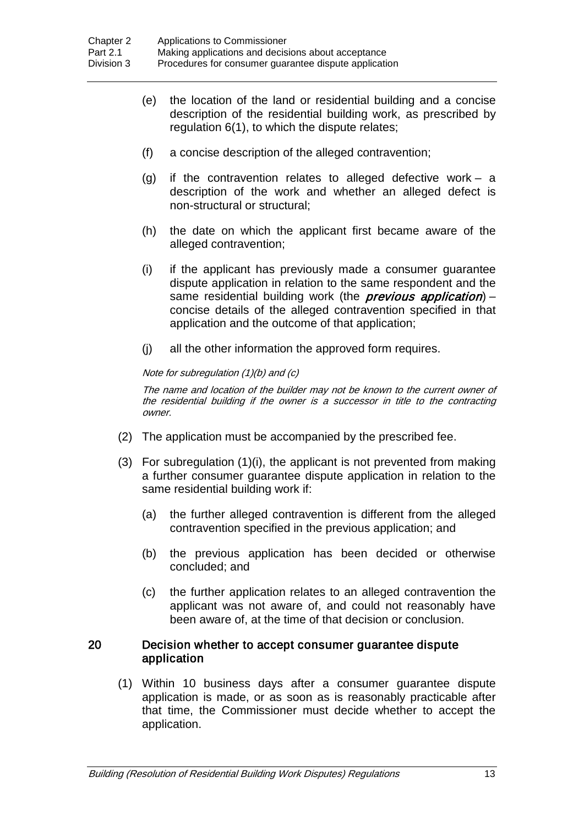- (e) the location of the land or residential building and a concise description of the residential building work, as prescribed by regulation 6(1), to which the dispute relates;
- (f) a concise description of the alleged contravention;
- (g) if the contravention relates to alleged defective work a description of the work and whether an alleged defect is non-structural or structural;
- (h) the date on which the applicant first became aware of the alleged contravention;
- (i) if the applicant has previously made a consumer guarantee dispute application in relation to the same respondent and the same residential building work (the *previous application*) – concise details of the alleged contravention specified in that application and the outcome of that application;
- (j) all the other information the approved form requires.

#### Note for subregulation (1)(b) and (c)

The name and location of the builder may not be known to the current owner of the residential building if the owner is a successor in title to the contracting owner.

- (2) The application must be accompanied by the prescribed fee.
- (3) For subregulation (1)(i), the applicant is not prevented from making a further consumer guarantee dispute application in relation to the same residential building work if:
	- (a) the further alleged contravention is different from the alleged contravention specified in the previous application; and
	- (b) the previous application has been decided or otherwise concluded; and
	- (c) the further application relates to an alleged contravention the applicant was not aware of, and could not reasonably have been aware of, at the time of that decision or conclusion.

#### 20 Decision whether to accept consumer guarantee dispute application

(1) Within 10 business days after a consumer guarantee dispute application is made, or as soon as is reasonably practicable after that time, the Commissioner must decide whether to accept the application.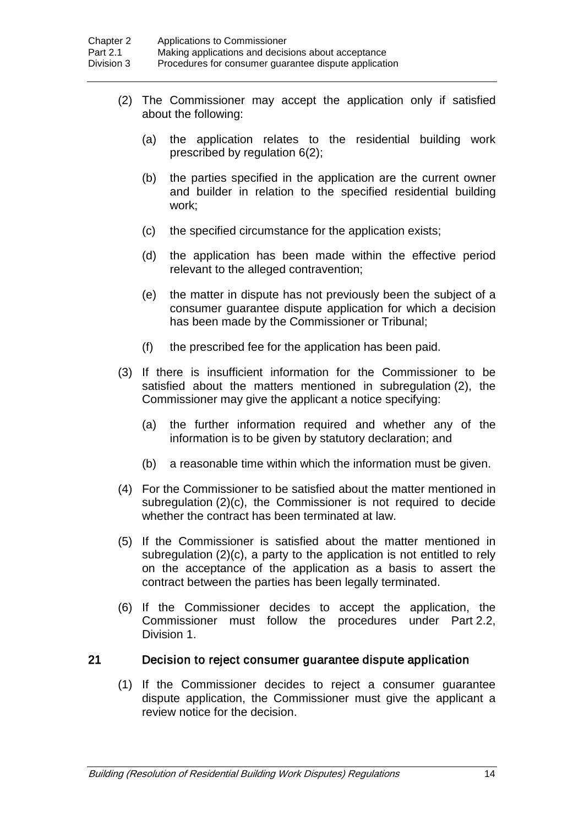- (2) The Commissioner may accept the application only if satisfied about the following:
	- (a) the application relates to the residential building work prescribed by regulation 6(2);
	- (b) the parties specified in the application are the current owner and builder in relation to the specified residential building work;
	- (c) the specified circumstance for the application exists;
	- (d) the application has been made within the effective period relevant to the alleged contravention;
	- (e) the matter in dispute has not previously been the subject of a consumer guarantee dispute application for which a decision has been made by the Commissioner or Tribunal;
	- (f) the prescribed fee for the application has been paid.
- (3) If there is insufficient information for the Commissioner to be satisfied about the matters mentioned in subregulation (2), the Commissioner may give the applicant a notice specifying:
	- (a) the further information required and whether any of the information is to be given by statutory declaration; and
	- (b) a reasonable time within which the information must be given.
- (4) For the Commissioner to be satisfied about the matter mentioned in subregulation (2)(c), the Commissioner is not required to decide whether the contract has been terminated at law.
- (5) If the Commissioner is satisfied about the matter mentioned in subregulation (2)(c), a party to the application is not entitled to rely on the acceptance of the application as a basis to assert the contract between the parties has been legally terminated.
- (6) If the Commissioner decides to accept the application, the Commissioner must follow the procedures under Part 2.2, Division 1.

#### 21 Decision to reject consumer guarantee dispute application

(1) If the Commissioner decides to reject a consumer guarantee dispute application, the Commissioner must give the applicant a review notice for the decision.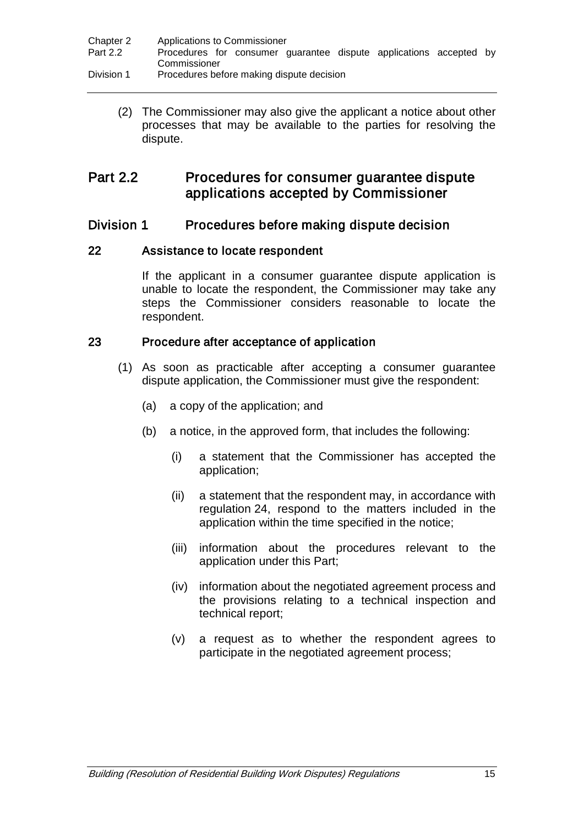| Chapter 2  | Applications to Commissioner                                                       |
|------------|------------------------------------------------------------------------------------|
| Part 2.2   | Procedures for consumer quarantee dispute applications accepted by<br>Commissioner |
|            |                                                                                    |
| Division 1 | Procedures before making dispute decision                                          |

(2) The Commissioner may also give the applicant a notice about other processes that may be available to the parties for resolving the dispute.

## Part 2.2 Procedures for consumer guarantee dispute applications accepted by Commissioner

## Division 1 Procedures before making dispute decision

#### 22 Assistance to locate respondent

If the applicant in a consumer guarantee dispute application is unable to locate the respondent, the Commissioner may take any steps the Commissioner considers reasonable to locate the respondent.

#### 23 Procedure after acceptance of application

- (1) As soon as practicable after accepting a consumer guarantee dispute application, the Commissioner must give the respondent:
	- (a) a copy of the application; and
	- (b) a notice, in the approved form, that includes the following:
		- (i) a statement that the Commissioner has accepted the application;
		- (ii) a statement that the respondent may, in accordance with regulation 24, respond to the matters included in the application within the time specified in the notice;
		- (iii) information about the procedures relevant to the application under this Part;
		- (iv) information about the negotiated agreement process and the provisions relating to a technical inspection and technical report;
		- (v) a request as to whether the respondent agrees to participate in the negotiated agreement process;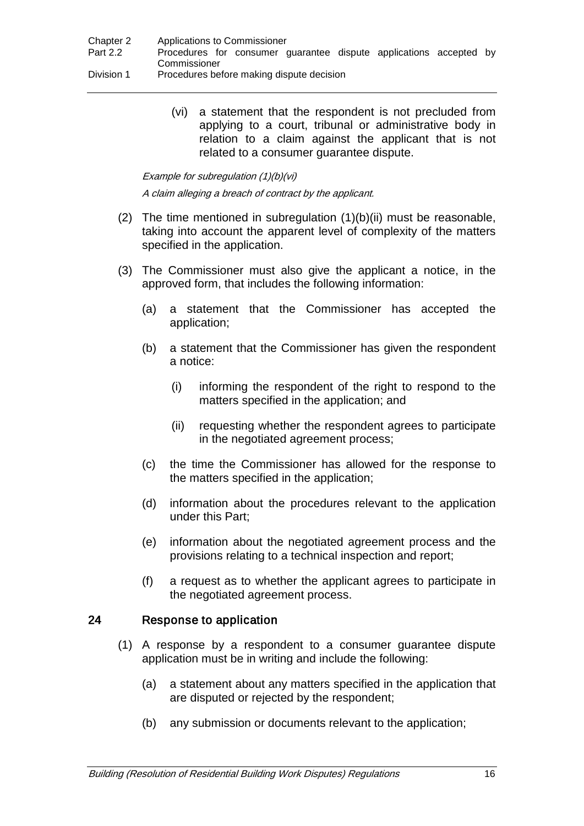| Chapter 2  | Applications to Commissioner                                       |
|------------|--------------------------------------------------------------------|
| Part 2.2   | Procedures for consumer guarantee dispute applications accepted by |
|            | Commissioner                                                       |
| Division 1 | Procedures before making dispute decision                          |

(vi) a statement that the respondent is not precluded from applying to a court, tribunal or administrative body in relation to a claim against the applicant that is not related to a consumer guarantee dispute.

Example for subregulation (1)(b)(vi)

A claim alleging a breach of contract by the applicant.

- (2) The time mentioned in subregulation  $(1)(b)(ii)$  must be reasonable, taking into account the apparent level of complexity of the matters specified in the application.
- (3) The Commissioner must also give the applicant a notice, in the approved form, that includes the following information:
	- (a) a statement that the Commissioner has accepted the application;
	- (b) a statement that the Commissioner has given the respondent a notice:
		- (i) informing the respondent of the right to respond to the matters specified in the application; and
		- (ii) requesting whether the respondent agrees to participate in the negotiated agreement process;
	- (c) the time the Commissioner has allowed for the response to the matters specified in the application;
	- (d) information about the procedures relevant to the application under this Part;
	- (e) information about the negotiated agreement process and the provisions relating to a technical inspection and report;
	- (f) a request as to whether the applicant agrees to participate in the negotiated agreement process.

## 24 Response to application

- (1) A response by a respondent to a consumer guarantee dispute application must be in writing and include the following:
	- (a) a statement about any matters specified in the application that are disputed or rejected by the respondent;
	- (b) any submission or documents relevant to the application;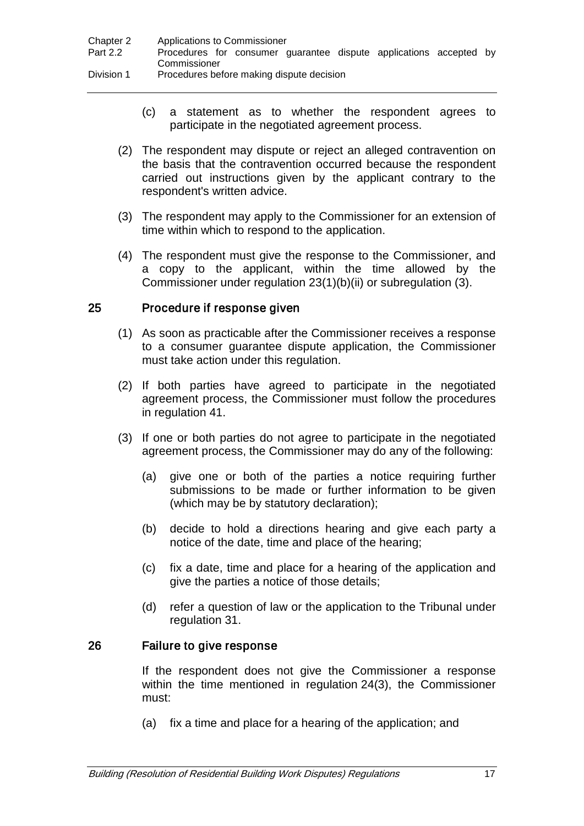| Chapter 2  | Applications to Commissioner                                                       |
|------------|------------------------------------------------------------------------------------|
| Part 2.2   | Procedures for consumer quarantee dispute applications accepted by<br>Commissioner |
| Division 1 | Procedures before making dispute decision                                          |

- (c) a statement as to whether the respondent agrees to participate in the negotiated agreement process.
- (2) The respondent may dispute or reject an alleged contravention on the basis that the contravention occurred because the respondent carried out instructions given by the applicant contrary to the respondent's written advice.
- (3) The respondent may apply to the Commissioner for an extension of time within which to respond to the application.
- (4) The respondent must give the response to the Commissioner, and a copy to the applicant, within the time allowed by the Commissioner under regulation 23(1)(b)(ii) or subregulation (3).

#### 25 Procedure if response given

- (1) As soon as practicable after the Commissioner receives a response to a consumer guarantee dispute application, the Commissioner must take action under this regulation.
- (2) If both parties have agreed to participate in the negotiated agreement process, the Commissioner must follow the procedures in regulation 41.
- (3) If one or both parties do not agree to participate in the negotiated agreement process, the Commissioner may do any of the following:
	- (a) give one or both of the parties a notice requiring further submissions to be made or further information to be given (which may be by statutory declaration);
	- (b) decide to hold a directions hearing and give each party a notice of the date, time and place of the hearing;
	- (c) fix a date, time and place for a hearing of the application and give the parties a notice of those details;
	- (d) refer a question of law or the application to the Tribunal under regulation 31.

#### 26 Failure to give response

If the respondent does not give the Commissioner a response within the time mentioned in regulation 24(3), the Commissioner must:

(a) fix a time and place for a hearing of the application; and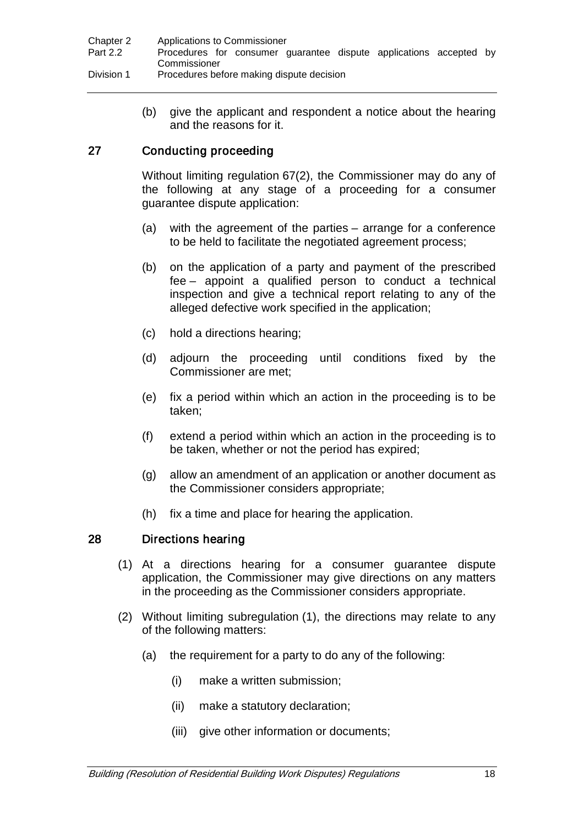(b) give the applicant and respondent a notice about the hearing and the reasons for it.

## 27 Conducting proceeding

Without limiting regulation 67(2), the Commissioner may do any of the following at any stage of a proceeding for a consumer guarantee dispute application:

- (a) with the agreement of the parties arrange for a conference to be held to facilitate the negotiated agreement process;
- (b) on the application of a party and payment of the prescribed fee – appoint a qualified person to conduct a technical inspection and give a technical report relating to any of the alleged defective work specified in the application;
- (c) hold a directions hearing;
- (d) adjourn the proceeding until conditions fixed by the Commissioner are met;
- (e) fix a period within which an action in the proceeding is to be taken;
- (f) extend a period within which an action in the proceeding is to be taken, whether or not the period has expired;
- (g) allow an amendment of an application or another document as the Commissioner considers appropriate;
- (h) fix a time and place for hearing the application.

## 28 Directions hearing

- (1) At a directions hearing for a consumer guarantee dispute application, the Commissioner may give directions on any matters in the proceeding as the Commissioner considers appropriate.
- (2) Without limiting subregulation (1), the directions may relate to any of the following matters:
	- (a) the requirement for a party to do any of the following:
		- (i) make a written submission;
		- (ii) make a statutory declaration;
		- (iii) give other information or documents;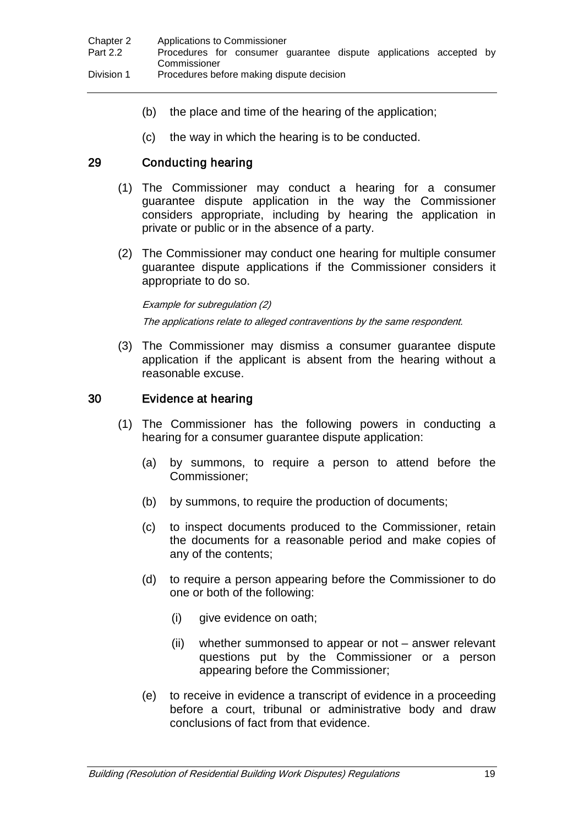- (b) the place and time of the hearing of the application;
- (c) the way in which the hearing is to be conducted.

## 29 Conducting hearing

- (1) The Commissioner may conduct a hearing for a consumer guarantee dispute application in the way the Commissioner considers appropriate, including by hearing the application in private or public or in the absence of a party.
- (2) The Commissioner may conduct one hearing for multiple consumer guarantee dispute applications if the Commissioner considers it appropriate to do so.

Example for subregulation (2) The applications relate to alleged contraventions by the same respondent.

(3) The Commissioner may dismiss a consumer guarantee dispute application if the applicant is absent from the hearing without a reasonable excuse.

## 30 Evidence at hearing

- (1) The Commissioner has the following powers in conducting a hearing for a consumer guarantee dispute application:
	- (a) by summons, to require a person to attend before the Commissioner;
	- (b) by summons, to require the production of documents;
	- (c) to inspect documents produced to the Commissioner, retain the documents for a reasonable period and make copies of any of the contents;
	- (d) to require a person appearing before the Commissioner to do one or both of the following:
		- (i) give evidence on oath;
		- (ii) whether summonsed to appear or not answer relevant questions put by the Commissioner or a person appearing before the Commissioner;
	- (e) to receive in evidence a transcript of evidence in a proceeding before a court, tribunal or administrative body and draw conclusions of fact from that evidence.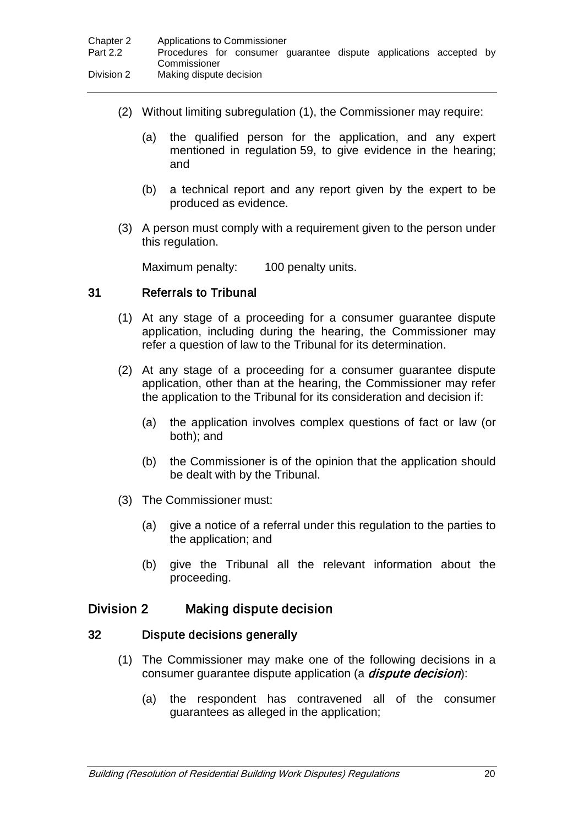- (2) Without limiting subregulation (1), the Commissioner may require:
	- (a) the qualified person for the application, and any expert mentioned in regulation 59, to give evidence in the hearing; and
	- (b) a technical report and any report given by the expert to be produced as evidence.
- (3) A person must comply with a requirement given to the person under this regulation.

Maximum penalty: 100 penalty units.

#### 31 Referrals to Tribunal

- (1) At any stage of a proceeding for a consumer guarantee dispute application, including during the hearing, the Commissioner may refer a question of law to the Tribunal for its determination.
- (2) At any stage of a proceeding for a consumer guarantee dispute application, other than at the hearing, the Commissioner may refer the application to the Tribunal for its consideration and decision if:
	- (a) the application involves complex questions of fact or law (or both); and
	- (b) the Commissioner is of the opinion that the application should be dealt with by the Tribunal.
- (3) The Commissioner must:
	- (a) give a notice of a referral under this regulation to the parties to the application; and
	- (b) give the Tribunal all the relevant information about the proceeding.

## Division 2 Making dispute decision

#### 32 Dispute decisions generally

- (1) The Commissioner may make one of the following decisions in a consumer quarantee dispute application (a *dispute decision*):
	- (a) the respondent has contravened all of the consumer guarantees as alleged in the application;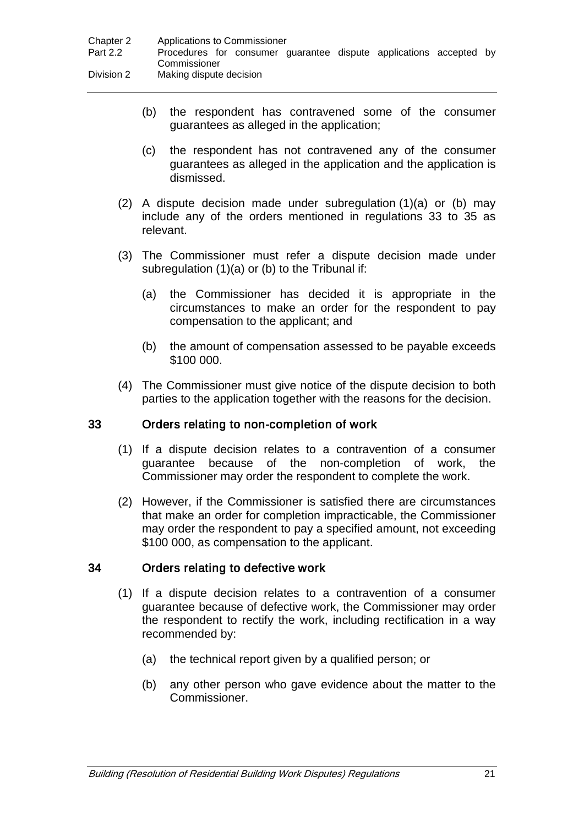- (b) the respondent has contravened some of the consumer guarantees as alleged in the application;
- (c) the respondent has not contravened any of the consumer guarantees as alleged in the application and the application is dismissed.
- $(2)$  A dispute decision made under subregulation  $(1)(a)$  or  $(b)$  may include any of the orders mentioned in regulations 33 to 35 as relevant.
- (3) The Commissioner must refer a dispute decision made under subregulation (1)(a) or (b) to the Tribunal if:
	- (a) the Commissioner has decided it is appropriate in the circumstances to make an order for the respondent to pay compensation to the applicant; and
	- (b) the amount of compensation assessed to be payable exceeds \$100 000.
- (4) The Commissioner must give notice of the dispute decision to both parties to the application together with the reasons for the decision.

## 33 Orders relating to non-completion of work

- (1) If a dispute decision relates to a contravention of a consumer guarantee because of the non-completion of work, the Commissioner may order the respondent to complete the work.
- (2) However, if the Commissioner is satisfied there are circumstances that make an order for completion impracticable, the Commissioner may order the respondent to pay a specified amount, not exceeding \$100 000, as compensation to the applicant.

## 34 Orders relating to defective work

- (1) If a dispute decision relates to a contravention of a consumer guarantee because of defective work, the Commissioner may order the respondent to rectify the work, including rectification in a way recommended by:
	- (a) the technical report given by a qualified person; or
	- (b) any other person who gave evidence about the matter to the Commissioner.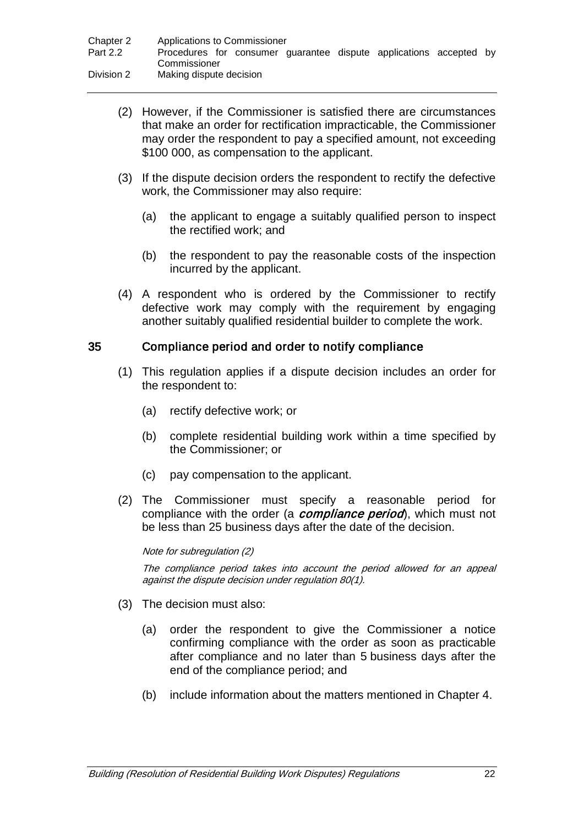- (2) However, if the Commissioner is satisfied there are circumstances that make an order for rectification impracticable, the Commissioner may order the respondent to pay a specified amount, not exceeding \$100 000, as compensation to the applicant.
- (3) If the dispute decision orders the respondent to rectify the defective work, the Commissioner may also require:
	- (a) the applicant to engage a suitably qualified person to inspect the rectified work; and
	- (b) the respondent to pay the reasonable costs of the inspection incurred by the applicant.
- (4) A respondent who is ordered by the Commissioner to rectify defective work may comply with the requirement by engaging another suitably qualified residential builder to complete the work.

#### 35 Compliance period and order to notify compliance

- (1) This regulation applies if a dispute decision includes an order for the respondent to:
	- (a) rectify defective work; or
	- (b) complete residential building work within a time specified by the Commissioner; or
	- (c) pay compensation to the applicant.
- (2) The Commissioner must specify a reasonable period for compliance with the order (a **compliance period**), which must not be less than 25 business days after the date of the decision.

#### Note for subregulation (2)

The compliance period takes into account the period allowed for an appeal against the dispute decision under regulation 80(1).

- (3) The decision must also:
	- (a) order the respondent to give the Commissioner a notice confirming compliance with the order as soon as practicable after compliance and no later than 5 business days after the end of the compliance period; and
	- (b) include information about the matters mentioned in Chapter 4.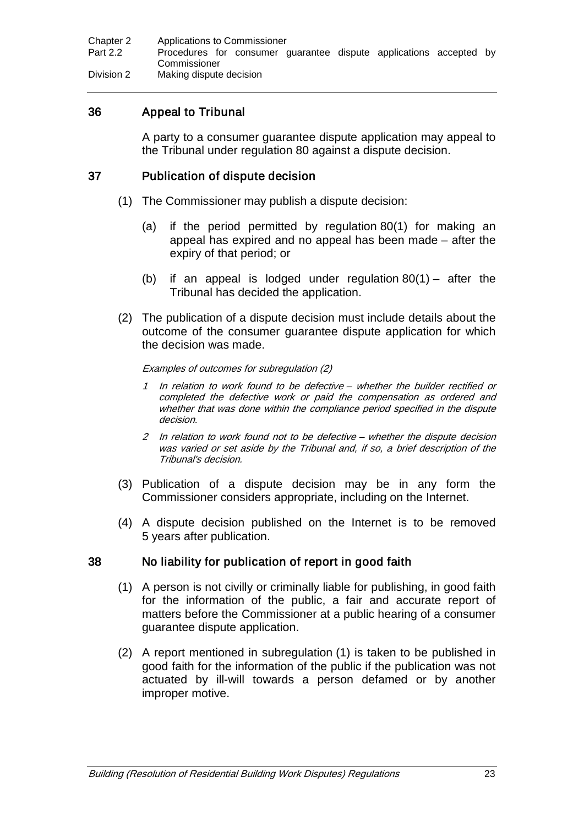| Chapter 2  | Applications to Commissioner                                       |
|------------|--------------------------------------------------------------------|
| Part 2.2   | Procedures for consumer guarantee dispute applications accepted by |
|            | Commissioner                                                       |
| Division 2 | Making dispute decision                                            |

## 36 Appeal to Tribunal

A party to a consumer guarantee dispute application may appeal to the Tribunal under regulation 80 against a dispute decision.

#### 37 Publication of dispute decision

- (1) The Commissioner may publish a dispute decision:
	- (a) if the period permitted by regulation 80(1) for making an appeal has expired and no appeal has been made – after the expiry of that period; or
	- (b) if an appeal is lodged under regulation  $80(1)$  after the Tribunal has decided the application.
- (2) The publication of a dispute decision must include details about the outcome of the consumer guarantee dispute application for which the decision was made.

#### Examples of outcomes for subregulation (2)

- 1 In relation to work found to be defective whether the builder rectified or completed the defective work or paid the compensation as ordered and whether that was done within the compliance period specified in the dispute decision.
- 2 In relation to work found not to be defective whether the dispute decision was varied or set aside by the Tribunal and, if so, a brief description of the Tribunal's decision.
- (3) Publication of a dispute decision may be in any form the Commissioner considers appropriate, including on the Internet.
- (4) A dispute decision published on the Internet is to be removed 5 years after publication.

#### 38 No liability for publication of report in good faith

- (1) A person is not civilly or criminally liable for publishing, in good faith for the information of the public, a fair and accurate report of matters before the Commissioner at a public hearing of a consumer guarantee dispute application.
- (2) A report mentioned in subregulation (1) is taken to be published in good faith for the information of the public if the publication was not actuated by ill-will towards a person defamed or by another improper motive.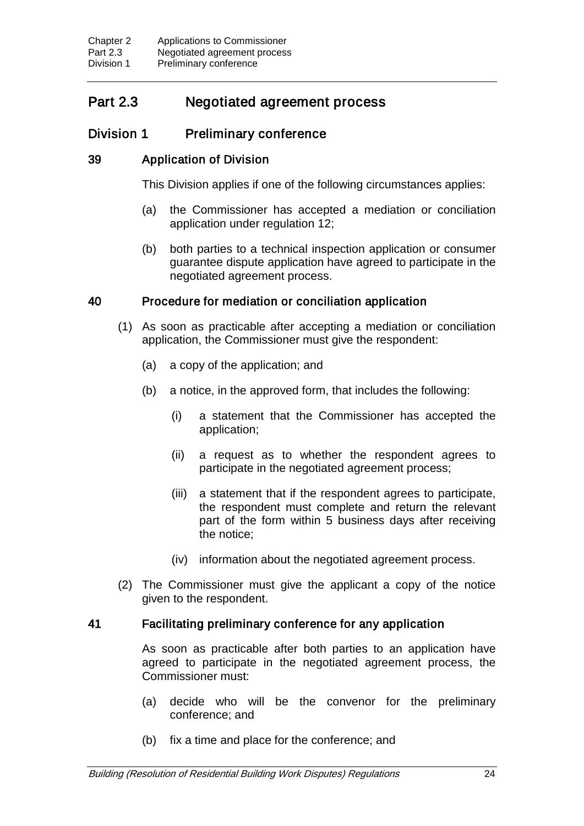## Part 2.3 Negotiated agreement process

## Division 1 Preliminary conference

## 39 Application of Division

This Division applies if one of the following circumstances applies:

- (a) the Commissioner has accepted a mediation or conciliation application under regulation 12;
- (b) both parties to a technical inspection application or consumer guarantee dispute application have agreed to participate in the negotiated agreement process.

## 40 Procedure for mediation or conciliation application

- (1) As soon as practicable after accepting a mediation or conciliation application, the Commissioner must give the respondent:
	- (a) a copy of the application; and
	- (b) a notice, in the approved form, that includes the following:
		- (i) a statement that the Commissioner has accepted the application;
		- (ii) a request as to whether the respondent agrees to participate in the negotiated agreement process;
		- (iii) a statement that if the respondent agrees to participate, the respondent must complete and return the relevant part of the form within 5 business days after receiving the notice;
		- (iv) information about the negotiated agreement process.
- (2) The Commissioner must give the applicant a copy of the notice given to the respondent.

## 41 Facilitating preliminary conference for any application

As soon as practicable after both parties to an application have agreed to participate in the negotiated agreement process, the Commissioner must:

- (a) decide who will be the convenor for the preliminary conference; and
- (b) fix a time and place for the conference; and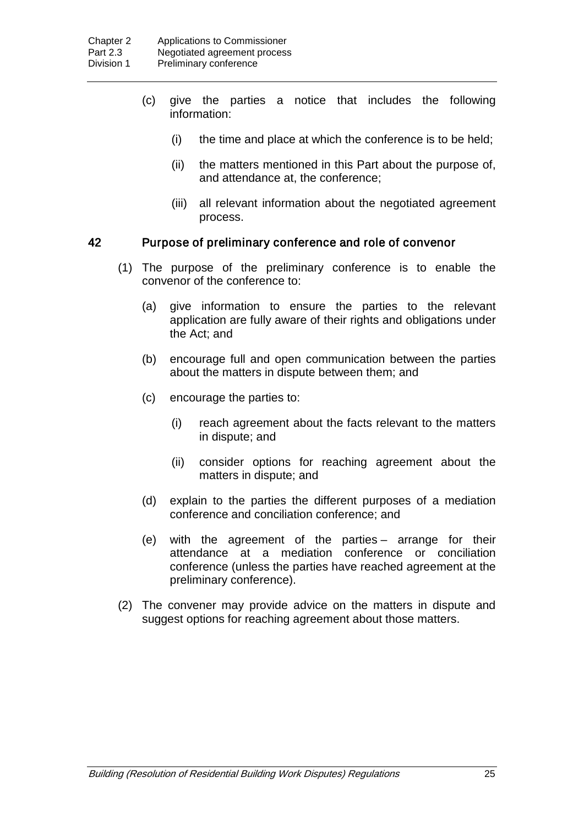- (c) give the parties a notice that includes the following information:
	- (i) the time and place at which the conference is to be held;
	- (ii) the matters mentioned in this Part about the purpose of, and attendance at, the conference;
	- (iii) all relevant information about the negotiated agreement process.

#### 42 Purpose of preliminary conference and role of convenor

- (1) The purpose of the preliminary conference is to enable the convenor of the conference to:
	- (a) give information to ensure the parties to the relevant application are fully aware of their rights and obligations under the Act; and
	- (b) encourage full and open communication between the parties about the matters in dispute between them; and
	- (c) encourage the parties to:
		- (i) reach agreement about the facts relevant to the matters in dispute; and
		- (ii) consider options for reaching agreement about the matters in dispute; and
	- (d) explain to the parties the different purposes of a mediation conference and conciliation conference; and
	- (e) with the agreement of the parties arrange for their attendance at a mediation conference or conciliation conference (unless the parties have reached agreement at the preliminary conference).
- (2) The convener may provide advice on the matters in dispute and suggest options for reaching agreement about those matters.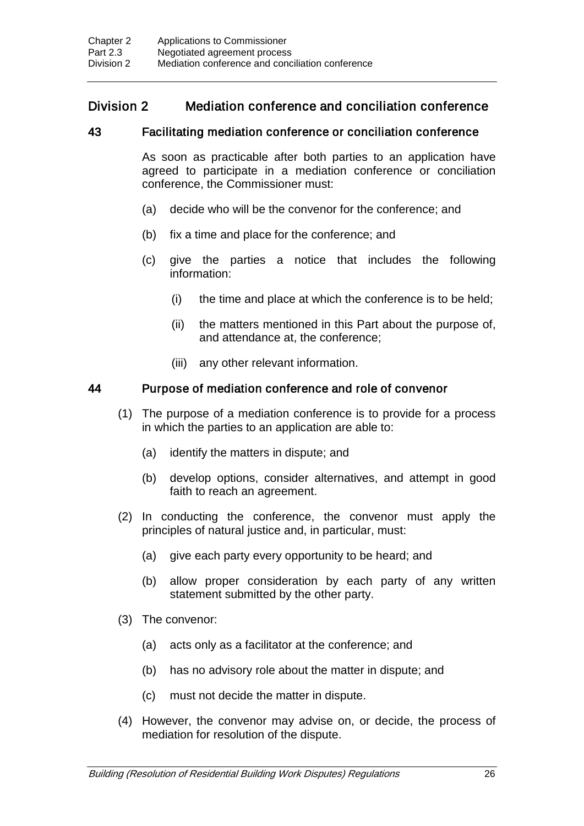## Division 2 Mediation conference and conciliation conference

#### 43 Facilitating mediation conference or conciliation conference

As soon as practicable after both parties to an application have agreed to participate in a mediation conference or conciliation conference, the Commissioner must:

- (a) decide who will be the convenor for the conference; and
- (b) fix a time and place for the conference; and
- (c) give the parties a notice that includes the following information:
	- (i) the time and place at which the conference is to be held;
	- (ii) the matters mentioned in this Part about the purpose of, and attendance at, the conference;
	- (iii) any other relevant information.

#### 44 Purpose of mediation conference and role of convenor

- (1) The purpose of a mediation conference is to provide for a process in which the parties to an application are able to:
	- (a) identify the matters in dispute; and
	- (b) develop options, consider alternatives, and attempt in good faith to reach an agreement.
- (2) In conducting the conference, the convenor must apply the principles of natural justice and, in particular, must:
	- (a) give each party every opportunity to be heard; and
	- (b) allow proper consideration by each party of any written statement submitted by the other party.
- (3) The convenor:
	- (a) acts only as a facilitator at the conference; and
	- (b) has no advisory role about the matter in dispute; and
	- (c) must not decide the matter in dispute.
- (4) However, the convenor may advise on, or decide, the process of mediation for resolution of the dispute.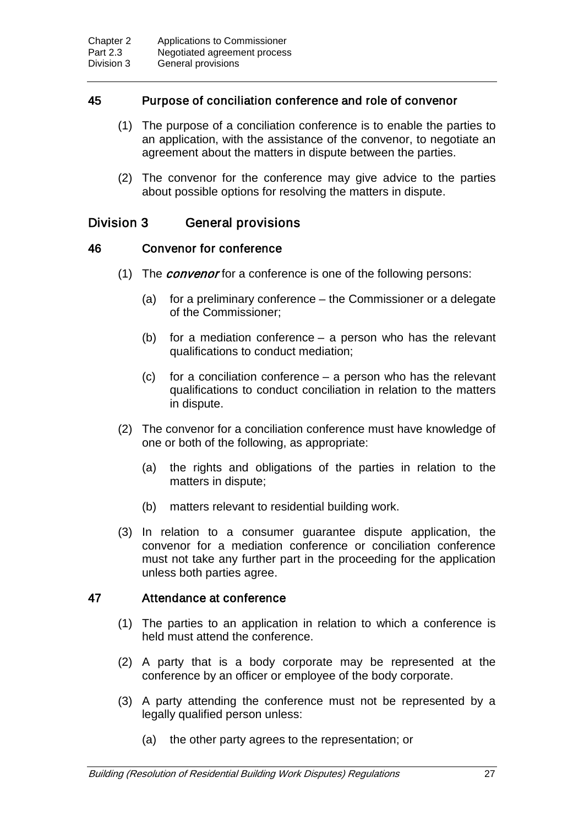## 45 Purpose of conciliation conference and role of convenor

- (1) The purpose of a conciliation conference is to enable the parties to an application, with the assistance of the convenor, to negotiate an agreement about the matters in dispute between the parties.
- (2) The convenor for the conference may give advice to the parties about possible options for resolving the matters in dispute.

## Division 3 General provisions

## 46 Convenor for conference

- (1) The *convenor* for a conference is one of the following persons:
	- (a) for a preliminary conference the Commissioner or a delegate of the Commissioner;
	- (b) for a mediation conference a person who has the relevant qualifications to conduct mediation;
	- (c) for a conciliation conference a person who has the relevant qualifications to conduct conciliation in relation to the matters in dispute.
- (2) The convenor for a conciliation conference must have knowledge of one or both of the following, as appropriate:
	- (a) the rights and obligations of the parties in relation to the matters in dispute;
	- (b) matters relevant to residential building work.
- (3) In relation to a consumer guarantee dispute application, the convenor for a mediation conference or conciliation conference must not take any further part in the proceeding for the application unless both parties agree.

## 47 Attendance at conference

- (1) The parties to an application in relation to which a conference is held must attend the conference.
- (2) A party that is a body corporate may be represented at the conference by an officer or employee of the body corporate.
- (3) A party attending the conference must not be represented by a legally qualified person unless:
	- (a) the other party agrees to the representation; or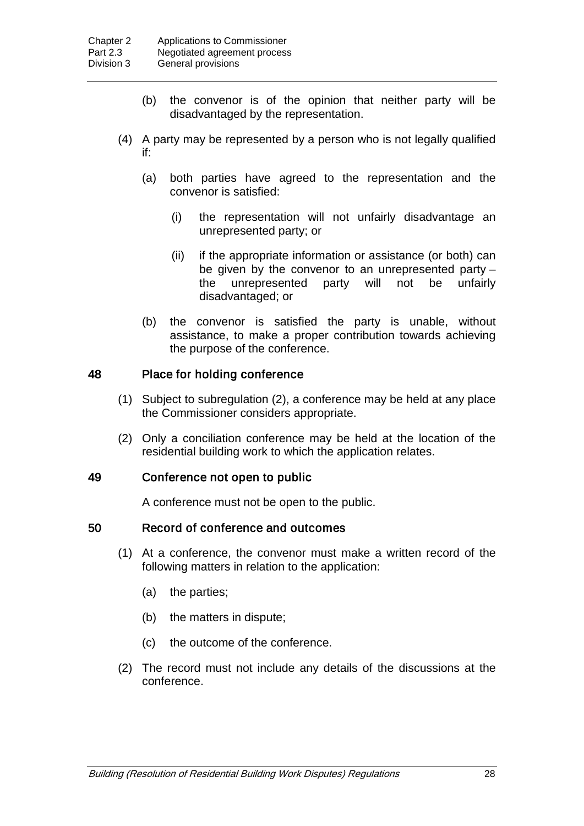- (b) the convenor is of the opinion that neither party will be disadvantaged by the representation.
- (4) A party may be represented by a person who is not legally qualified if:
	- (a) both parties have agreed to the representation and the convenor is satisfied:
		- (i) the representation will not unfairly disadvantage an unrepresented party; or
		- (ii) if the appropriate information or assistance (or both) can be given by the convenor to an unrepresented party – the unrepresented party will not be unfairly disadvantaged; or
	- (b) the convenor is satisfied the party is unable, without assistance, to make a proper contribution towards achieving the purpose of the conference.

## 48 Place for holding conference

- (1) Subject to subregulation (2), a conference may be held at any place the Commissioner considers appropriate.
- (2) Only a conciliation conference may be held at the location of the residential building work to which the application relates.

#### 49 Conference not open to public

A conference must not be open to the public.

## 50 Record of conference and outcomes

- (1) At a conference, the convenor must make a written record of the following matters in relation to the application:
	- (a) the parties;
	- (b) the matters in dispute;
	- (c) the outcome of the conference.
- (2) The record must not include any details of the discussions at the conference.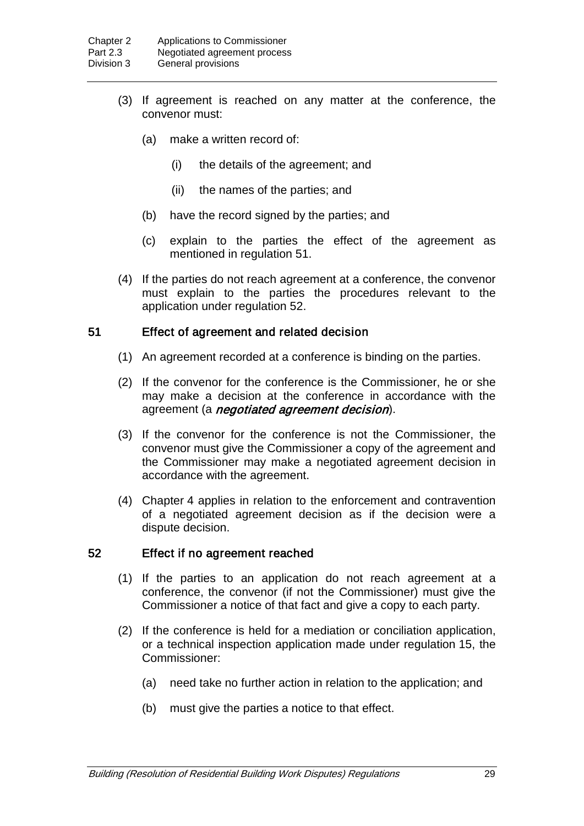- (3) If agreement is reached on any matter at the conference, the convenor must:
	- (a) make a written record of:
		- (i) the details of the agreement; and
		- (ii) the names of the parties; and
	- (b) have the record signed by the parties; and
	- (c) explain to the parties the effect of the agreement as mentioned in regulation 51.
- (4) If the parties do not reach agreement at a conference, the convenor must explain to the parties the procedures relevant to the application under regulation 52.

#### 51 Effect of agreement and related decision

- (1) An agreement recorded at a conference is binding on the parties.
- (2) If the convenor for the conference is the Commissioner, he or she may make a decision at the conference in accordance with the agreement (a *negotiated agreement decision*).
- (3) If the convenor for the conference is not the Commissioner, the convenor must give the Commissioner a copy of the agreement and the Commissioner may make a negotiated agreement decision in accordance with the agreement.
- (4) Chapter 4 applies in relation to the enforcement and contravention of a negotiated agreement decision as if the decision were a dispute decision.

#### 52 Effect if no agreement reached

- (1) If the parties to an application do not reach agreement at a conference, the convenor (if not the Commissioner) must give the Commissioner a notice of that fact and give a copy to each party.
- (2) If the conference is held for a mediation or conciliation application, or a technical inspection application made under regulation 15, the Commissioner:
	- (a) need take no further action in relation to the application; and
	- (b) must give the parties a notice to that effect.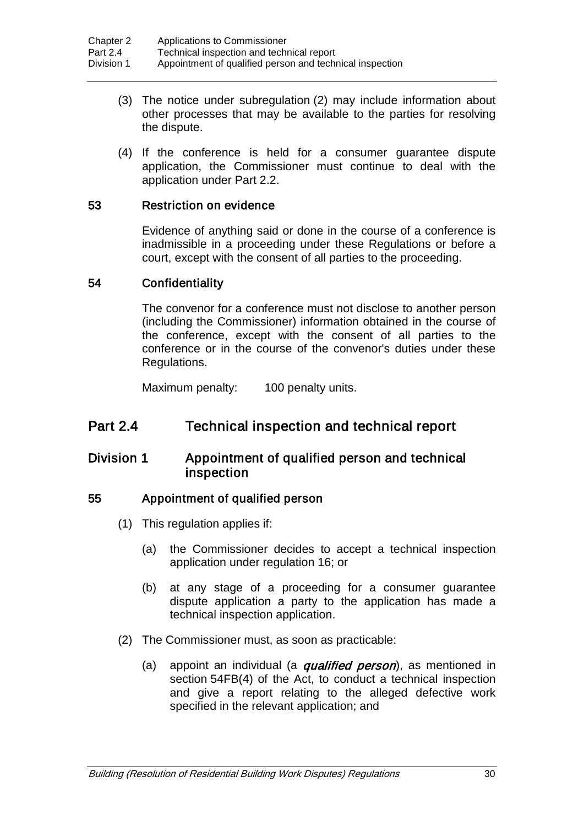- (3) The notice under subregulation (2) may include information about other processes that may be available to the parties for resolving the dispute.
- (4) If the conference is held for a consumer guarantee dispute application, the Commissioner must continue to deal with the application under Part 2.2.

## 53 Restriction on evidence

Evidence of anything said or done in the course of a conference is inadmissible in a proceeding under these Regulations or before a court, except with the consent of all parties to the proceeding.

#### 54 Confidentiality

The convenor for a conference must not disclose to another person (including the Commissioner) information obtained in the course of the conference, except with the consent of all parties to the conference or in the course of the convenor's duties under these Regulations.

Maximum penalty: 100 penalty units.

## Part 2.4 Technical inspection and technical report

## Division 1 Appointment of qualified person and technical inspection

#### 55 Appointment of qualified person

- (1) This regulation applies if:
	- (a) the Commissioner decides to accept a technical inspection application under regulation 16; or
	- (b) at any stage of a proceeding for a consumer guarantee dispute application a party to the application has made a technical inspection application.
- (2) The Commissioner must, as soon as practicable:
	- (a) appoint an individual (a *qualified person*), as mentioned in section 54FB(4) of the Act, to conduct a technical inspection and give a report relating to the alleged defective work specified in the relevant application; and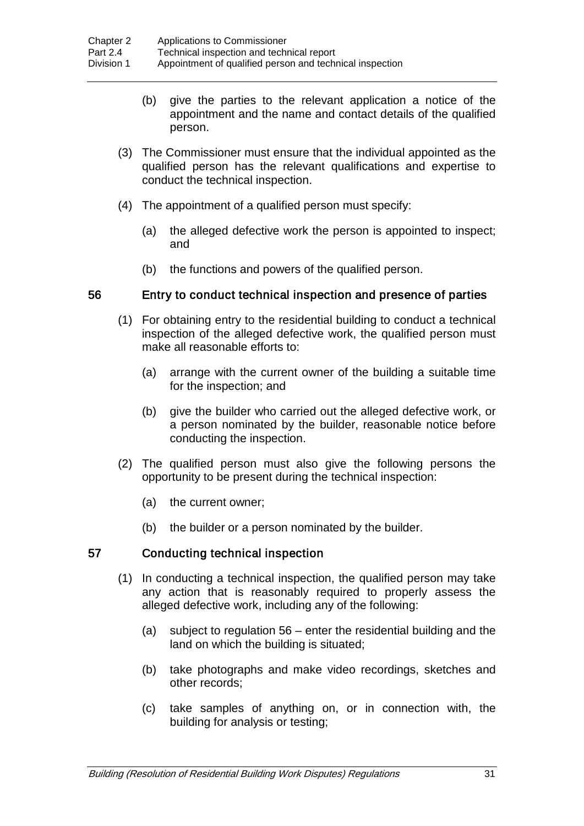- (b) give the parties to the relevant application a notice of the appointment and the name and contact details of the qualified person.
- (3) The Commissioner must ensure that the individual appointed as the qualified person has the relevant qualifications and expertise to conduct the technical inspection.
- (4) The appointment of a qualified person must specify:
	- (a) the alleged defective work the person is appointed to inspect; and
	- (b) the functions and powers of the qualified person.

## 56 Entry to conduct technical inspection and presence of parties

- (1) For obtaining entry to the residential building to conduct a technical inspection of the alleged defective work, the qualified person must make all reasonable efforts to:
	- (a) arrange with the current owner of the building a suitable time for the inspection; and
	- (b) give the builder who carried out the alleged defective work, or a person nominated by the builder, reasonable notice before conducting the inspection.
- (2) The qualified person must also give the following persons the opportunity to be present during the technical inspection:
	- (a) the current owner;
	- (b) the builder or a person nominated by the builder.

## 57 Conducting technical inspection

- (1) In conducting a technical inspection, the qualified person may take any action that is reasonably required to properly assess the alleged defective work, including any of the following:
	- (a) subject to regulation 56 enter the residential building and the land on which the building is situated;
	- (b) take photographs and make video recordings, sketches and other records;
	- (c) take samples of anything on, or in connection with, the building for analysis or testing;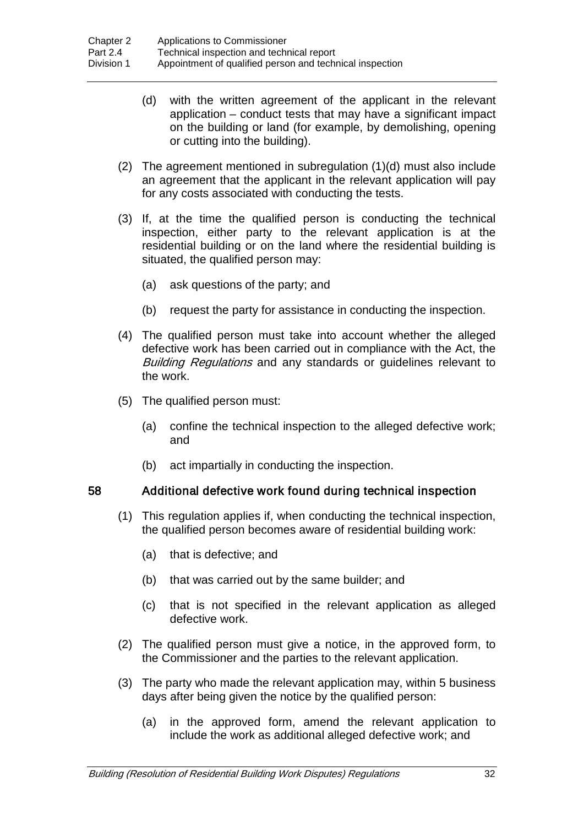- (d) with the written agreement of the applicant in the relevant application – conduct tests that may have a significant impact on the building or land (for example, by demolishing, opening or cutting into the building).
- (2) The agreement mentioned in subregulation (1)(d) must also include an agreement that the applicant in the relevant application will pay for any costs associated with conducting the tests.
- (3) If, at the time the qualified person is conducting the technical inspection, either party to the relevant application is at the residential building or on the land where the residential building is situated, the qualified person may:
	- (a) ask questions of the party; and
	- (b) request the party for assistance in conducting the inspection.
- (4) The qualified person must take into account whether the alleged defective work has been carried out in compliance with the Act, the Building Regulations and any standards or guidelines relevant to the work.
- (5) The qualified person must:
	- (a) confine the technical inspection to the alleged defective work; and
	- (b) act impartially in conducting the inspection.

## 58 Additional defective work found during technical inspection

- (1) This regulation applies if, when conducting the technical inspection, the qualified person becomes aware of residential building work:
	- (a) that is defective; and
	- (b) that was carried out by the same builder; and
	- (c) that is not specified in the relevant application as alleged defective work.
- (2) The qualified person must give a notice, in the approved form, to the Commissioner and the parties to the relevant application.
- (3) The party who made the relevant application may, within 5 business days after being given the notice by the qualified person:
	- (a) in the approved form, amend the relevant application to include the work as additional alleged defective work; and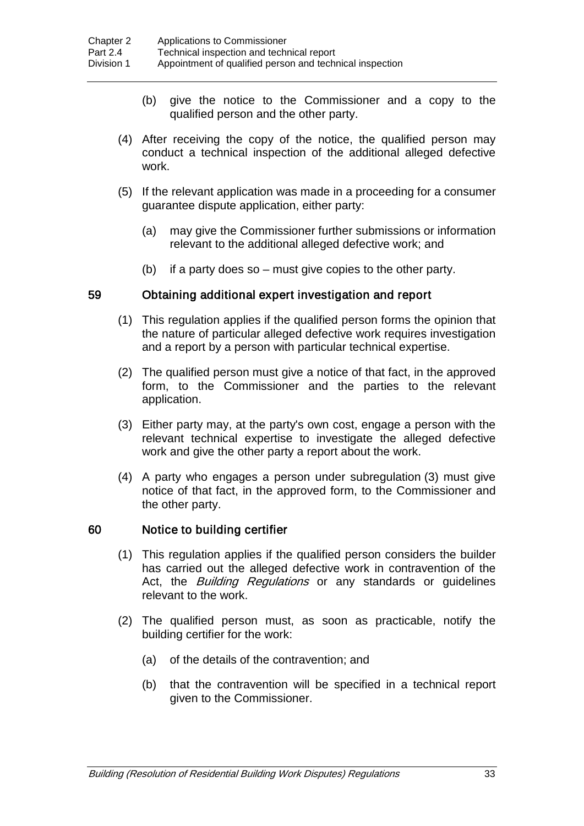- (b) give the notice to the Commissioner and a copy to the qualified person and the other party.
- (4) After receiving the copy of the notice, the qualified person may conduct a technical inspection of the additional alleged defective work.
- (5) If the relevant application was made in a proceeding for a consumer guarantee dispute application, either party:
	- (a) may give the Commissioner further submissions or information relevant to the additional alleged defective work; and
	- (b) if a party does so must give copies to the other party.

#### 59 Obtaining additional expert investigation and report

- (1) This regulation applies if the qualified person forms the opinion that the nature of particular alleged defective work requires investigation and a report by a person with particular technical expertise.
- (2) The qualified person must give a notice of that fact, in the approved form, to the Commissioner and the parties to the relevant application.
- (3) Either party may, at the party's own cost, engage a person with the relevant technical expertise to investigate the alleged defective work and give the other party a report about the work.
- (4) A party who engages a person under subregulation (3) must give notice of that fact, in the approved form, to the Commissioner and the other party.

#### 60 Notice to building certifier

- (1) This regulation applies if the qualified person considers the builder has carried out the alleged defective work in contravention of the Act, the **Building Regulations** or any standards or guidelines relevant to the work.
- (2) The qualified person must, as soon as practicable, notify the building certifier for the work:
	- (a) of the details of the contravention; and
	- (b) that the contravention will be specified in a technical report given to the Commissioner.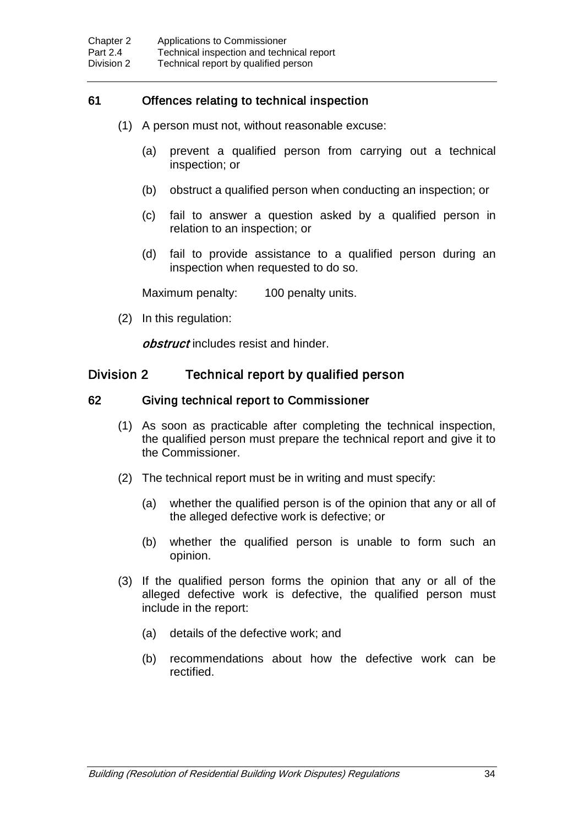## 61 Offences relating to technical inspection

- (1) A person must not, without reasonable excuse:
	- (a) prevent a qualified person from carrying out a technical inspection; or
	- (b) obstruct a qualified person when conducting an inspection; or
	- (c) fail to answer a question asked by a qualified person in relation to an inspection; or
	- (d) fail to provide assistance to a qualified person during an inspection when requested to do so.

Maximum penalty: 100 penalty units.

(2) In this regulation:

obstruct includes resist and hinder.

## Division 2 Technical report by qualified person

#### 62 Giving technical report to Commissioner

- (1) As soon as practicable after completing the technical inspection, the qualified person must prepare the technical report and give it to the Commissioner.
- (2) The technical report must be in writing and must specify:
	- (a) whether the qualified person is of the opinion that any or all of the alleged defective work is defective; or
	- (b) whether the qualified person is unable to form such an opinion.
- (3) If the qualified person forms the opinion that any or all of the alleged defective work is defective, the qualified person must include in the report:
	- (a) details of the defective work; and
	- (b) recommendations about how the defective work can be rectified.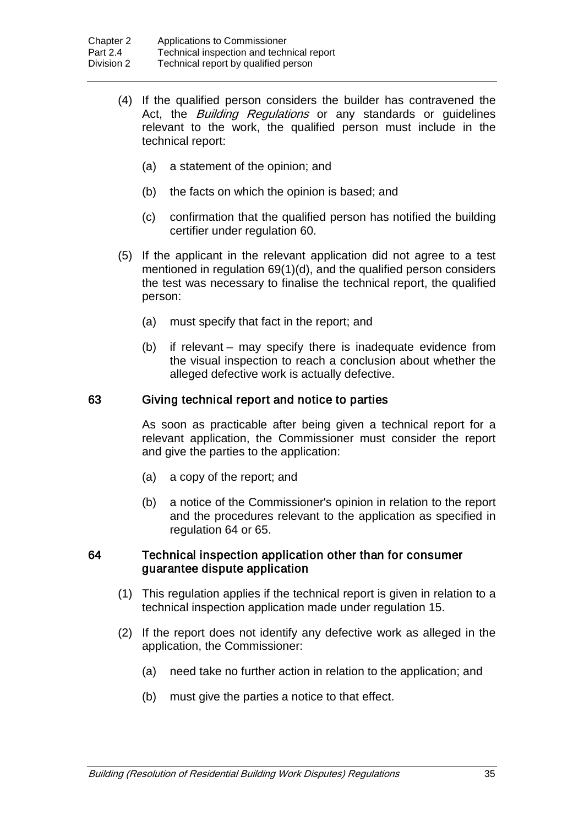- (4) If the qualified person considers the builder has contravened the Act, the *Building Regulations* or any standards or guidelines relevant to the work, the qualified person must include in the technical report:
	- (a) a statement of the opinion; and
	- (b) the facts on which the opinion is based; and
	- (c) confirmation that the qualified person has notified the building certifier under regulation 60.
- (5) If the applicant in the relevant application did not agree to a test mentioned in regulation 69(1)(d), and the qualified person considers the test was necessary to finalise the technical report, the qualified person:
	- (a) must specify that fact in the report; and
	- (b) if relevant may specify there is inadequate evidence from the visual inspection to reach a conclusion about whether the alleged defective work is actually defective.

#### 63 Giving technical report and notice to parties

As soon as practicable after being given a technical report for a relevant application, the Commissioner must consider the report and give the parties to the application:

- (a) a copy of the report; and
- (b) a notice of the Commissioner's opinion in relation to the report and the procedures relevant to the application as specified in regulation 64 or 65.

#### 64 Technical inspection application other than for consumer guarantee dispute application

- (1) This regulation applies if the technical report is given in relation to a technical inspection application made under regulation 15.
- (2) If the report does not identify any defective work as alleged in the application, the Commissioner:
	- (a) need take no further action in relation to the application; and
	- (b) must give the parties a notice to that effect.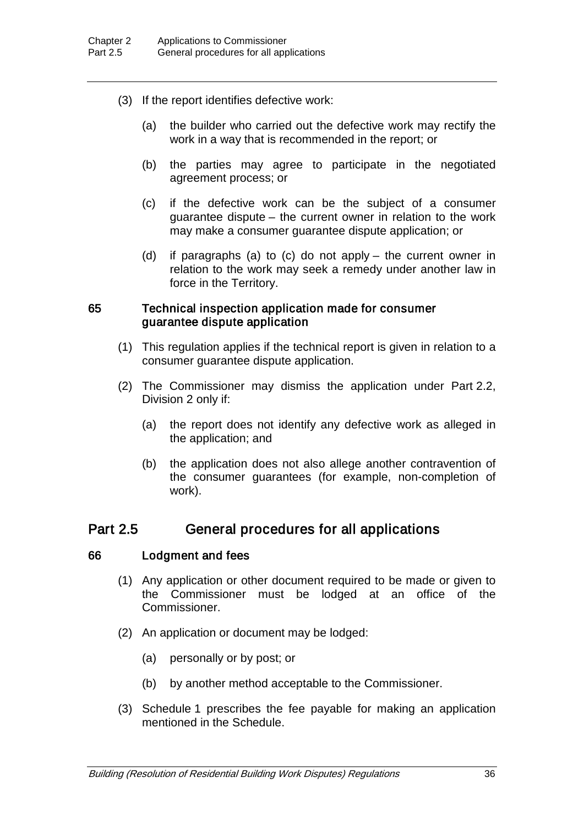- (3) If the report identifies defective work:
	- (a) the builder who carried out the defective work may rectify the work in a way that is recommended in the report; or
	- (b) the parties may agree to participate in the negotiated agreement process; or
	- (c) if the defective work can be the subject of a consumer guarantee dispute – the current owner in relation to the work may make a consumer guarantee dispute application; or
	- (d) if paragraphs (a) to (c) do not apply the current owner in relation to the work may seek a remedy under another law in force in the Territory.

#### 65 Technical inspection application made for consumer guarantee dispute application

- (1) This regulation applies if the technical report is given in relation to a consumer guarantee dispute application.
- (2) The Commissioner may dismiss the application under Part 2.2, Division 2 only if:
	- (a) the report does not identify any defective work as alleged in the application; and
	- (b) the application does not also allege another contravention of the consumer guarantees (for example, non-completion of work).

## Part 2.5 General procedures for all applications

#### 66 Lodgment and fees

- (1) Any application or other document required to be made or given to the Commissioner must be lodged at an office of the Commissioner.
- (2) An application or document may be lodged:
	- (a) personally or by post; or
	- (b) by another method acceptable to the Commissioner.
- (3) Schedule 1 prescribes the fee payable for making an application mentioned in the Schedule.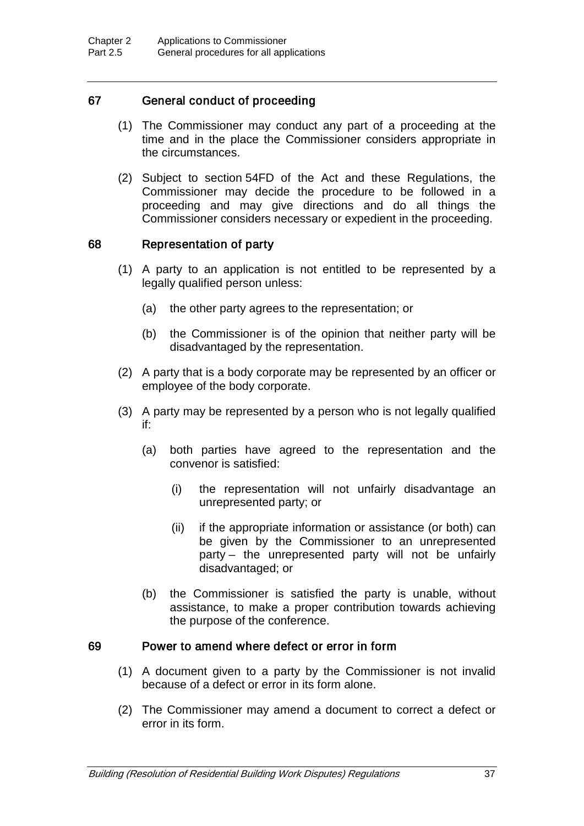## 67 General conduct of proceeding

- (1) The Commissioner may conduct any part of a proceeding at the time and in the place the Commissioner considers appropriate in the circumstances.
- (2) Subject to section 54FD of the Act and these Regulations, the Commissioner may decide the procedure to be followed in a proceeding and may give directions and do all things the Commissioner considers necessary or expedient in the proceeding.

#### 68 Representation of party

- (1) A party to an application is not entitled to be represented by a legally qualified person unless:
	- (a) the other party agrees to the representation; or
	- (b) the Commissioner is of the opinion that neither party will be disadvantaged by the representation.
- (2) A party that is a body corporate may be represented by an officer or employee of the body corporate.
- (3) A party may be represented by a person who is not legally qualified if:
	- (a) both parties have agreed to the representation and the convenor is satisfied:
		- (i) the representation will not unfairly disadvantage an unrepresented party; or
		- (ii) if the appropriate information or assistance (or both) can be given by the Commissioner to an unrepresented party – the unrepresented party will not be unfairly disadvantaged; or
	- (b) the Commissioner is satisfied the party is unable, without assistance, to make a proper contribution towards achieving the purpose of the conference.

#### 69 Power to amend where defect or error in form

- (1) A document given to a party by the Commissioner is not invalid because of a defect or error in its form alone.
- (2) The Commissioner may amend a document to correct a defect or error in its form.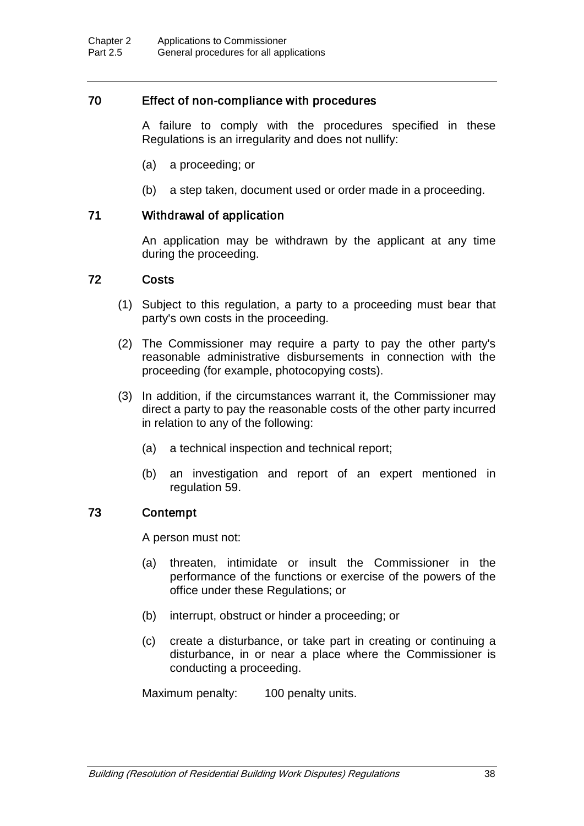## 70 Effect of non-compliance with procedures

A failure to comply with the procedures specified in these Regulations is an irregularity and does not nullify:

- (a) a proceeding; or
- (b) a step taken, document used or order made in a proceeding.

## 71 Withdrawal of application

An application may be withdrawn by the applicant at any time during the proceeding.

#### 72 Costs

- (1) Subject to this regulation, a party to a proceeding must bear that party's own costs in the proceeding.
- (2) The Commissioner may require a party to pay the other party's reasonable administrative disbursements in connection with the proceeding (for example, photocopying costs).
- (3) In addition, if the circumstances warrant it, the Commissioner may direct a party to pay the reasonable costs of the other party incurred in relation to any of the following:
	- (a) a technical inspection and technical report;
	- (b) an investigation and report of an expert mentioned in regulation 59.

#### 73 Contempt

A person must not:

- (a) threaten, intimidate or insult the Commissioner in the performance of the functions or exercise of the powers of the office under these Regulations; or
- (b) interrupt, obstruct or hinder a proceeding; or
- (c) create a disturbance, or take part in creating or continuing a disturbance, in or near a place where the Commissioner is conducting a proceeding.

Maximum penalty: 100 penalty units.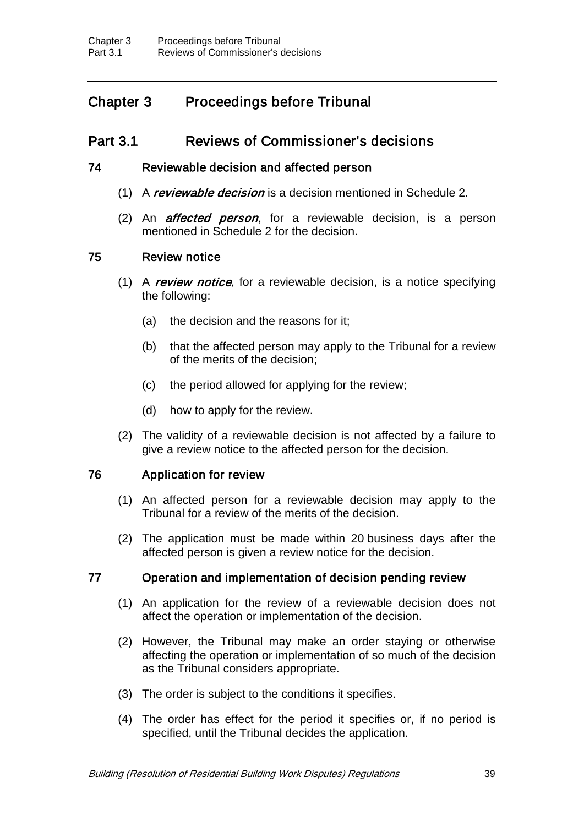## Chapter 3 Proceedings before Tribunal

## Part 3.1 Reviews of Commissioner's decisions

#### 74 Reviewable decision and affected person

- (1) A reviewable decision is a decision mentioned in Schedule 2.
- (2) An *affected person*, for a reviewable decision, is a person mentioned in Schedule 2 for the decision.

#### 75 Review notice

- (1) A review notice, for a reviewable decision, is a notice specifying the following:
	- (a) the decision and the reasons for it;
	- (b) that the affected person may apply to the Tribunal for a review of the merits of the decision;
	- (c) the period allowed for applying for the review;
	- (d) how to apply for the review.
- (2) The validity of a reviewable decision is not affected by a failure to give a review notice to the affected person for the decision.

#### 76 Application for review

- (1) An affected person for a reviewable decision may apply to the Tribunal for a review of the merits of the decision.
- (2) The application must be made within 20 business days after the affected person is given a review notice for the decision.

#### 77 Operation and implementation of decision pending review

- (1) An application for the review of a reviewable decision does not affect the operation or implementation of the decision.
- (2) However, the Tribunal may make an order staying or otherwise affecting the operation or implementation of so much of the decision as the Tribunal considers appropriate.
- (3) The order is subject to the conditions it specifies.
- (4) The order has effect for the period it specifies or, if no period is specified, until the Tribunal decides the application.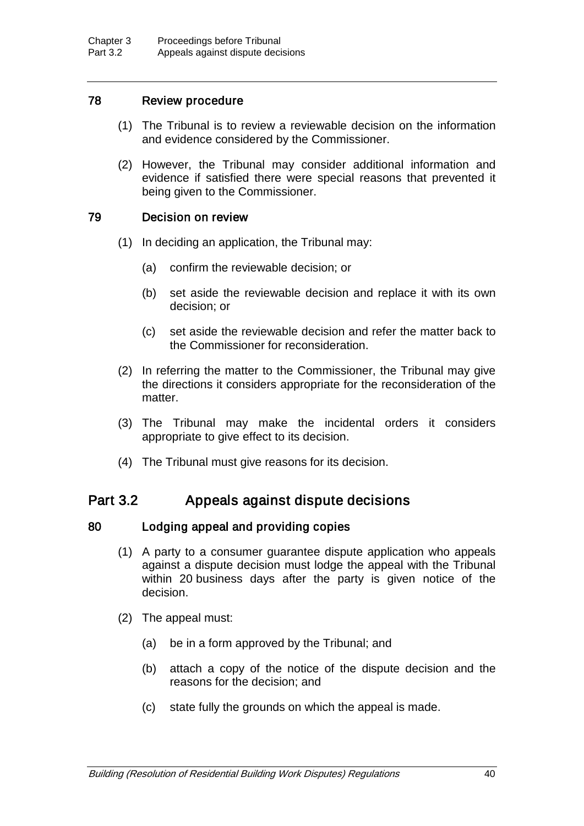## 78 Review procedure

- (1) The Tribunal is to review a reviewable decision on the information and evidence considered by the Commissioner.
- (2) However, the Tribunal may consider additional information and evidence if satisfied there were special reasons that prevented it being given to the Commissioner.

## 79 Decision on review

- (1) In deciding an application, the Tribunal may:
	- (a) confirm the reviewable decision; or
	- (b) set aside the reviewable decision and replace it with its own decision; or
	- (c) set aside the reviewable decision and refer the matter back to the Commissioner for reconsideration.
- (2) In referring the matter to the Commissioner, the Tribunal may give the directions it considers appropriate for the reconsideration of the matter.
- (3) The Tribunal may make the incidental orders it considers appropriate to give effect to its decision.
- (4) The Tribunal must give reasons for its decision.

## Part 3.2 Appeals against dispute decisions

## 80 Lodging appeal and providing copies

- (1) A party to a consumer guarantee dispute application who appeals against a dispute decision must lodge the appeal with the Tribunal within 20 business days after the party is given notice of the decision.
- (2) The appeal must:
	- (a) be in a form approved by the Tribunal; and
	- (b) attach a copy of the notice of the dispute decision and the reasons for the decision; and
	- (c) state fully the grounds on which the appeal is made.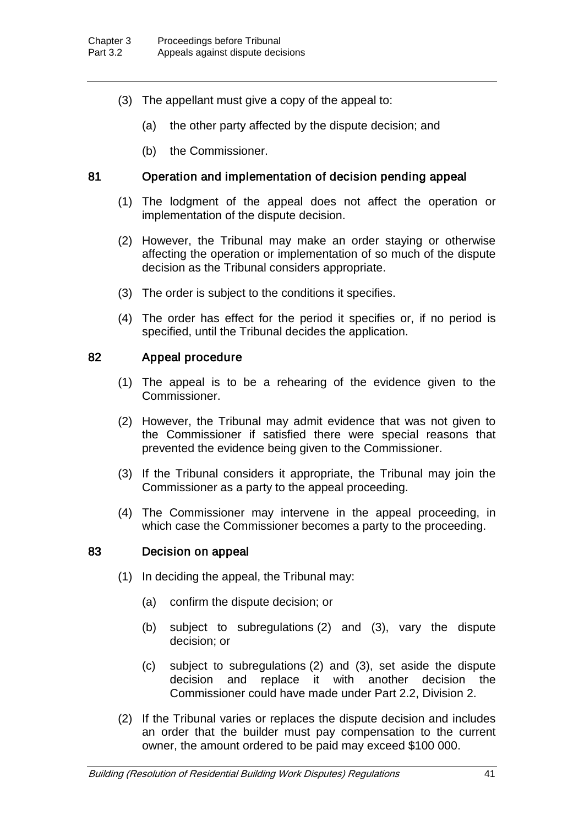- (3) The appellant must give a copy of the appeal to:
	- (a) the other party affected by the dispute decision; and
	- (b) the Commissioner.

### 81 Operation and implementation of decision pending appeal

- (1) The lodgment of the appeal does not affect the operation or implementation of the dispute decision.
- (2) However, the Tribunal may make an order staying or otherwise affecting the operation or implementation of so much of the dispute decision as the Tribunal considers appropriate.
- (3) The order is subject to the conditions it specifies.
- (4) The order has effect for the period it specifies or, if no period is specified, until the Tribunal decides the application.

#### 82 Appeal procedure

- (1) The appeal is to be a rehearing of the evidence given to the Commissioner.
- (2) However, the Tribunal may admit evidence that was not given to the Commissioner if satisfied there were special reasons that prevented the evidence being given to the Commissioner.
- (3) If the Tribunal considers it appropriate, the Tribunal may join the Commissioner as a party to the appeal proceeding.
- (4) The Commissioner may intervene in the appeal proceeding, in which case the Commissioner becomes a party to the proceeding.

#### 83 Decision on appeal

- (1) In deciding the appeal, the Tribunal may:
	- (a) confirm the dispute decision; or
	- (b) subject to subregulations (2) and (3), vary the dispute decision; or
	- (c) subject to subregulations (2) and (3), set aside the dispute decision and replace it with another decision the Commissioner could have made under Part 2.2, Division 2.
- (2) If the Tribunal varies or replaces the dispute decision and includes an order that the builder must pay compensation to the current owner, the amount ordered to be paid may exceed \$100 000.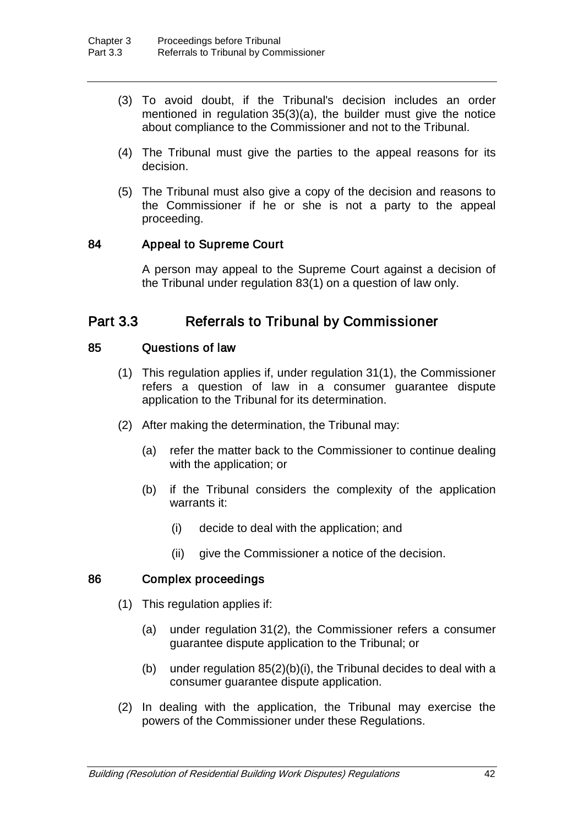- (3) To avoid doubt, if the Tribunal's decision includes an order mentioned in regulation 35(3)(a), the builder must give the notice about compliance to the Commissioner and not to the Tribunal.
- (4) The Tribunal must give the parties to the appeal reasons for its decision.
- (5) The Tribunal must also give a copy of the decision and reasons to the Commissioner if he or she is not a party to the appeal proceeding.

#### 84 Appeal to Supreme Court

A person may appeal to the Supreme Court against a decision of the Tribunal under regulation 83(1) on a question of law only.

## Part 3.3 Referrals to Tribunal by Commissioner

#### 85 Questions of law

- (1) This regulation applies if, under regulation 31(1), the Commissioner refers a question of law in a consumer guarantee dispute application to the Tribunal for its determination.
- (2) After making the determination, the Tribunal may:
	- (a) refer the matter back to the Commissioner to continue dealing with the application; or
	- (b) if the Tribunal considers the complexity of the application warrants it:
		- (i) decide to deal with the application; and
		- (ii) give the Commissioner a notice of the decision.

#### 86 Complex proceedings

- (1) This regulation applies if:
	- (a) under regulation 31(2), the Commissioner refers a consumer guarantee dispute application to the Tribunal; or
	- (b) under regulation 85(2)(b)(i), the Tribunal decides to deal with a consumer guarantee dispute application.
- (2) In dealing with the application, the Tribunal may exercise the powers of the Commissioner under these Regulations.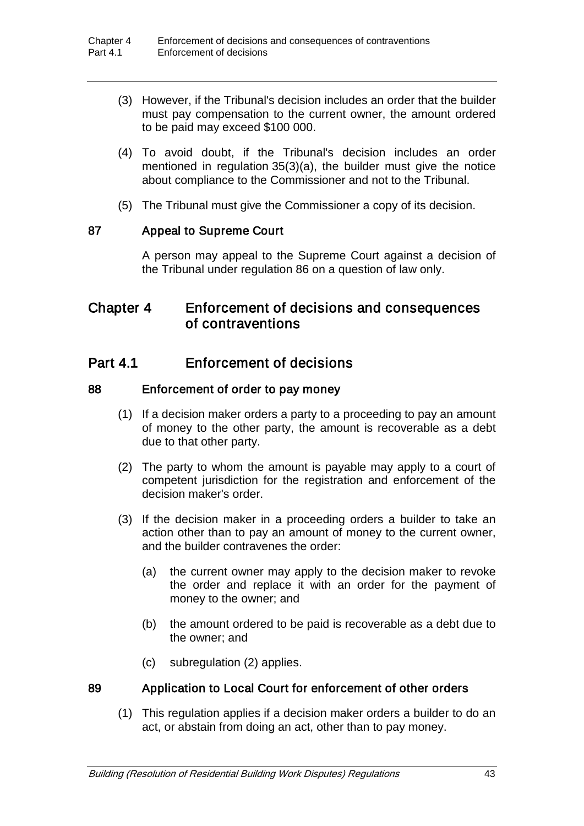- (3) However, if the Tribunal's decision includes an order that the builder must pay compensation to the current owner, the amount ordered to be paid may exceed \$100 000.
- (4) To avoid doubt, if the Tribunal's decision includes an order mentioned in regulation 35(3)(a), the builder must give the notice about compliance to the Commissioner and not to the Tribunal.
- (5) The Tribunal must give the Commissioner a copy of its decision.

#### 87 Appeal to Supreme Court

A person may appeal to the Supreme Court against a decision of the Tribunal under regulation 86 on a question of law only.

## Chapter 4 Enforcement of decisions and consequences of contraventions

## Part 4.1 Enforcement of decisions

#### 88 Enforcement of order to pay money

- (1) If a decision maker orders a party to a proceeding to pay an amount of money to the other party, the amount is recoverable as a debt due to that other party.
- (2) The party to whom the amount is payable may apply to a court of competent jurisdiction for the registration and enforcement of the decision maker's order.
- (3) If the decision maker in a proceeding orders a builder to take an action other than to pay an amount of money to the current owner, and the builder contravenes the order:
	- (a) the current owner may apply to the decision maker to revoke the order and replace it with an order for the payment of money to the owner; and
	- (b) the amount ordered to be paid is recoverable as a debt due to the owner; and
	- (c) subregulation (2) applies.

## 89 Application to Local Court for enforcement of other orders

(1) This regulation applies if a decision maker orders a builder to do an act, or abstain from doing an act, other than to pay money.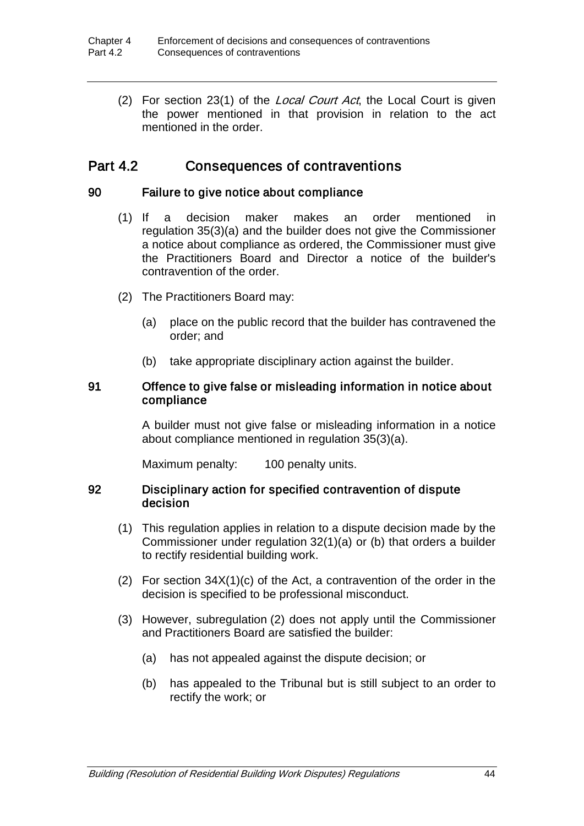(2) For section 23(1) of the *Local Court Act*, the Local Court is given the power mentioned in that provision in relation to the act mentioned in the order.

## Part 4.2 Consequences of contraventions

#### 90 Failure to give notice about compliance

- (1) If a decision maker makes an order mentioned in regulation 35(3)(a) and the builder does not give the Commissioner a notice about compliance as ordered, the Commissioner must give the Practitioners Board and Director a notice of the builder's contravention of the order.
- (2) The Practitioners Board may:
	- (a) place on the public record that the builder has contravened the order; and
	- (b) take appropriate disciplinary action against the builder.

#### 91 Offence to give false or misleading information in notice about compliance

A builder must not give false or misleading information in a notice about compliance mentioned in regulation 35(3)(a).

Maximum penalty: 100 penalty units.

#### 92 Disciplinary action for specified contravention of dispute decision

- (1) This regulation applies in relation to a dispute decision made by the Commissioner under regulation 32(1)(a) or (b) that orders a builder to rectify residential building work.
- (2) For section  $34X(1)(c)$  of the Act, a contravention of the order in the decision is specified to be professional misconduct.
- (3) However, subregulation (2) does not apply until the Commissioner and Practitioners Board are satisfied the builder:
	- (a) has not appealed against the dispute decision; or
	- (b) has appealed to the Tribunal but is still subject to an order to rectify the work; or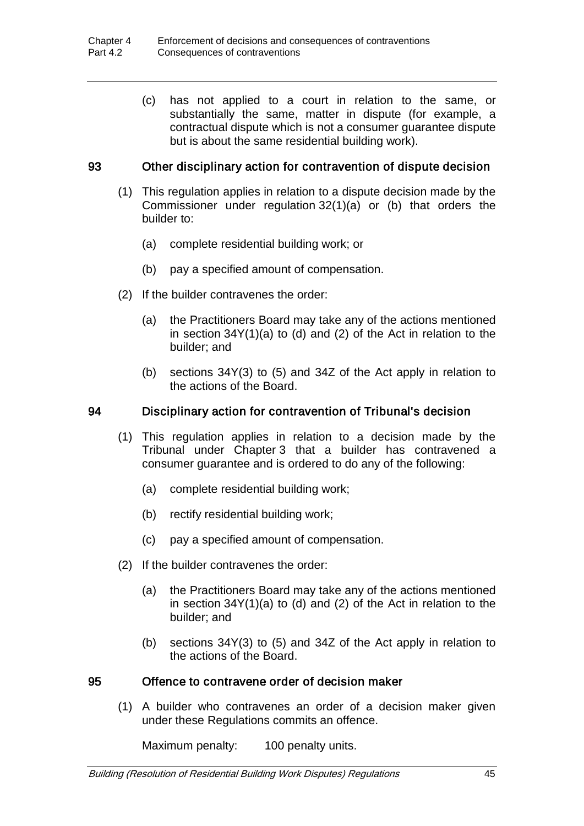(c) has not applied to a court in relation to the same, or substantially the same, matter in dispute (for example, a contractual dispute which is not a consumer guarantee dispute but is about the same residential building work).

## 93 Other disciplinary action for contravention of dispute decision

- (1) This regulation applies in relation to a dispute decision made by the Commissioner under regulation 32(1)(a) or (b) that orders the builder to:
	- (a) complete residential building work; or
	- (b) pay a specified amount of compensation.
- (2) If the builder contravenes the order:
	- (a) the Practitioners Board may take any of the actions mentioned in section 34Y(1)(a) to (d) and (2) of the Act in relation to the builder; and
	- (b) sections 34Y(3) to (5) and 34Z of the Act apply in relation to the actions of the Board.

### 94 Disciplinary action for contravention of Tribunal's decision

- (1) This regulation applies in relation to a decision made by the Tribunal under Chapter 3 that a builder has contravened a consumer guarantee and is ordered to do any of the following:
	- (a) complete residential building work;
	- (b) rectify residential building work;
	- (c) pay a specified amount of compensation.
- (2) If the builder contravenes the order:
	- (a) the Practitioners Board may take any of the actions mentioned in section 34Y(1)(a) to (d) and (2) of the Act in relation to the builder; and
	- (b) sections 34Y(3) to (5) and 34Z of the Act apply in relation to the actions of the Board.

#### 95 Offence to contravene order of decision maker

(1) A builder who contravenes an order of a decision maker given under these Regulations commits an offence.

Maximum penalty: 100 penalty units.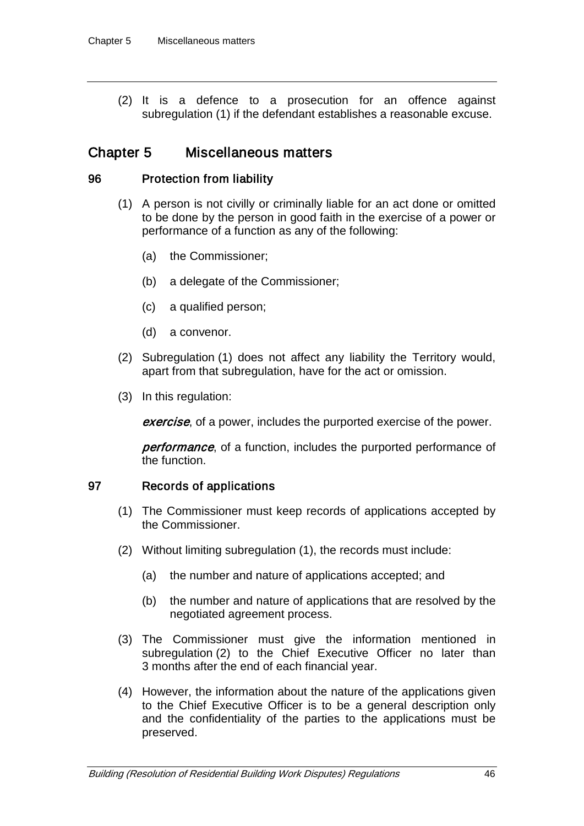(2) It is a defence to a prosecution for an offence against subregulation (1) if the defendant establishes a reasonable excuse.

## Chapter 5 Miscellaneous matters

#### 96 Protection from liability

- (1) A person is not civilly or criminally liable for an act done or omitted to be done by the person in good faith in the exercise of a power or performance of a function as any of the following:
	- (a) the Commissioner;
	- (b) a delegate of the Commissioner;
	- (c) a qualified person;
	- (d) a convenor.
- (2) Subregulation (1) does not affect any liability the Territory would, apart from that subregulation, have for the act or omission.
- (3) In this regulation:

**exercise**, of a power, includes the purported exercise of the power.

**performance**, of a function, includes the purported performance of the function.

#### 97 Records of applications

- (1) The Commissioner must keep records of applications accepted by the Commissioner.
- (2) Without limiting subregulation (1), the records must include:
	- (a) the number and nature of applications accepted; and
	- (b) the number and nature of applications that are resolved by the negotiated agreement process.
- (3) The Commissioner must give the information mentioned in subregulation (2) to the Chief Executive Officer no later than 3 months after the end of each financial year.
- (4) However, the information about the nature of the applications given to the Chief Executive Officer is to be a general description only and the confidentiality of the parties to the applications must be preserved.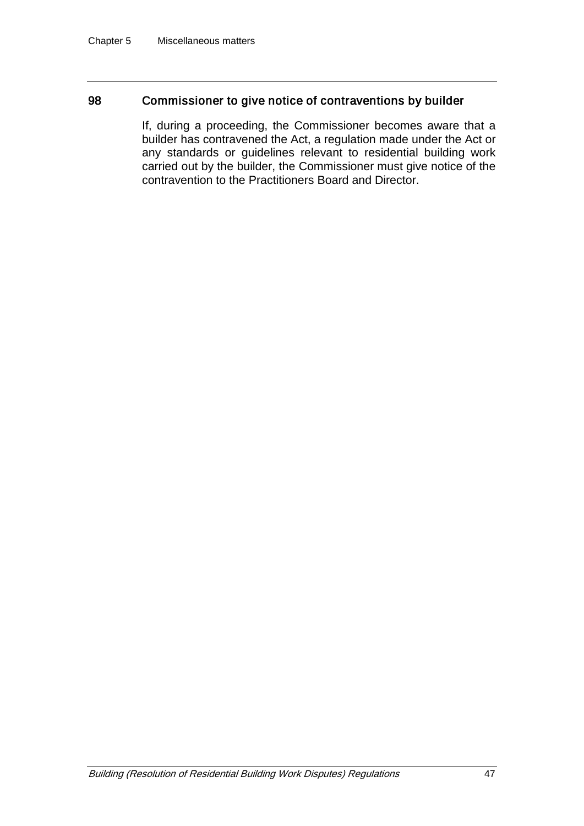#### 98 Commissioner to give notice of contraventions by builder

If, during a proceeding, the Commissioner becomes aware that a builder has contravened the Act, a regulation made under the Act or any standards or guidelines relevant to residential building work carried out by the builder, the Commissioner must give notice of the contravention to the Practitioners Board and Director.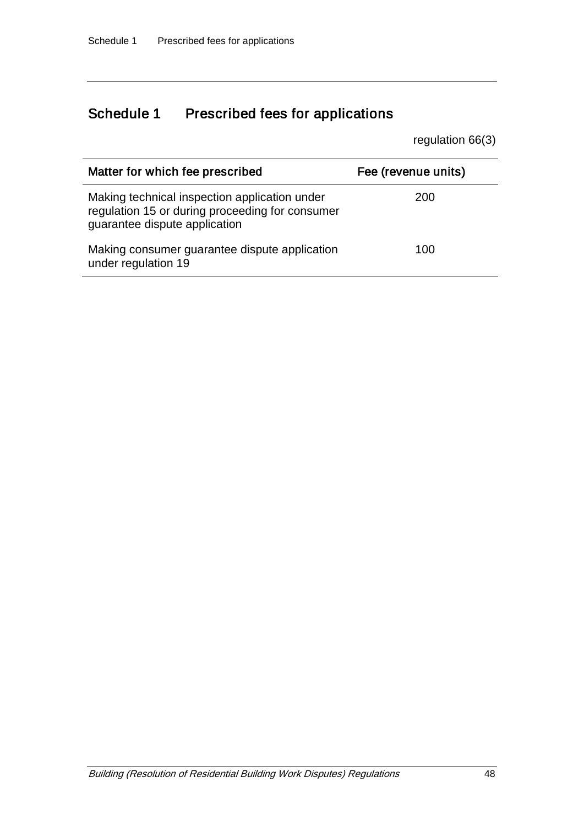# Schedule 1 Prescribed fees for applications

regulation 66(3)

| Matter for which fee prescribed                                                                                                   | Fee (revenue units) |
|-----------------------------------------------------------------------------------------------------------------------------------|---------------------|
| Making technical inspection application under<br>regulation 15 or during proceeding for consumer<br>guarantee dispute application | 200                 |
| Making consumer guarantee dispute application<br>under regulation 19                                                              | 100                 |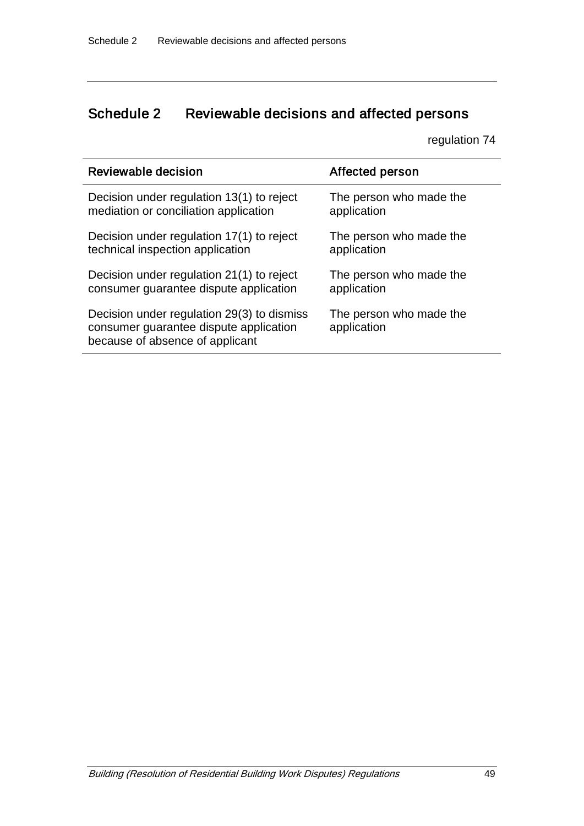# Schedule 2 Reviewable decisions and affected persons

regulation 74

| Reviewable decision                                                                                                     | Affected person                        |
|-------------------------------------------------------------------------------------------------------------------------|----------------------------------------|
| Decision under regulation 13(1) to reject                                                                               | The person who made the                |
| mediation or conciliation application                                                                                   | application                            |
| Decision under regulation 17(1) to reject                                                                               | The person who made the                |
| technical inspection application                                                                                        | application                            |
| Decision under regulation 21(1) to reject                                                                               | The person who made the                |
| consumer guarantee dispute application                                                                                  | application                            |
| Decision under regulation 29(3) to dismiss<br>consumer guarantee dispute application<br>because of absence of applicant | The person who made the<br>application |